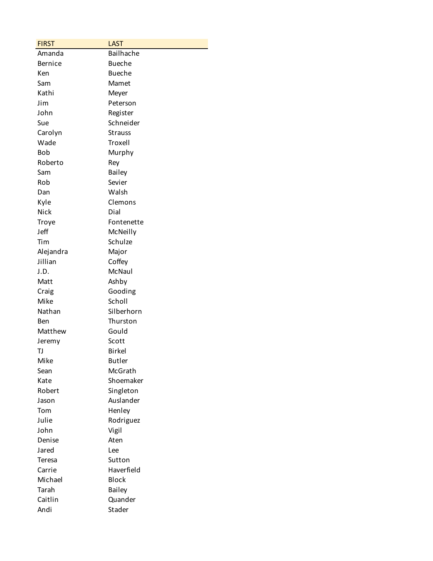| <b>FIRST</b>   | <b>LAST</b>    |
|----------------|----------------|
| Amanda         | Bailhache      |
| <b>Bernice</b> | <b>Bueche</b>  |
| Ken            | <b>Bueche</b>  |
| Sam            | Mamet          |
| Kathi          | Meyer          |
| Jim            | Peterson       |
| John           | Register       |
| Sue            | Schneider      |
| Carolyn        | <b>Strauss</b> |
| Wade           | Troxell        |
| <b>Bob</b>     | Murphy         |
| Roberto        | Rey            |
| Sam            | <b>Bailey</b>  |
| Rob            | Sevier         |
| Dan            | Walsh          |
| Kyle           | Clemons        |
| Nick           | Dial           |
| Troye          | Fontenette     |
| Jeff           | McNeilly       |
| Tim            | Schulze        |
| Alejandra      | Major          |
| Jillian        | Coffey         |
| J.D.           | McNaul         |
| Matt           | Ashby          |
| Craig          | Gooding        |
| Mike           | Scholl         |
| Nathan         | Silberhorn     |
| Ben            | Thurston       |
| Matthew        | Gould          |
| Jeremy         | Scott          |
| TJ             | <b>Birkel</b>  |
| Mike           | <b>Butler</b>  |
| Sean           | McGrath        |
| Kate           | Shoemaker      |
| Robert         | Singleton      |
| Jason          | Auslander      |
| Tom            | Henley         |
| Julie          | Rodriguez      |
| John           | Vigil          |
| Denise         | Aten           |
| Jared          | Lee            |
| Teresa         | Sutton         |
| Carrie         | Haverfield     |
| Michael        | <b>Block</b>   |
| Tarah          | <b>Bailey</b>  |
| Caitlin        | Quander        |
| Andi           | Stader         |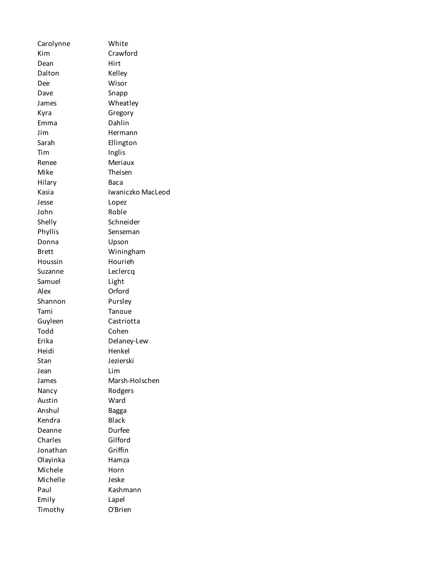| Carolynne    | White             |
|--------------|-------------------|
| Kim          | Crawford          |
| Dean         | Hirt              |
| Dalton       | Kelley            |
| Dee          | Wisor             |
| Dave         | Snapp             |
| James        | Wheatley          |
| Kyra         | Gregory           |
| Emma         | Dahlin            |
| Jim          | Hermann           |
| Sarah        | Ellington         |
| Tim          | Inglis            |
| Renee        | Meriaux           |
| Mike         | Theisen           |
| Hilary       | Baca              |
| Kasia        | Iwaniczko MacLeod |
| Jesse        | Lopez             |
| John         | Roble             |
| Shelly       | Schneider         |
| Phyllis      | Senseman          |
| Donna        | Upson             |
| <b>Brett</b> | Winingham         |
| Houssin      | Hourieh           |
|              |                   |
| Suzanne      | Leclercq          |
| Samuel       | Light             |
| Alex         | Orford            |
| Shannon      | Pursley           |
| Tami         | Tanoue            |
| Guyleen      | Castriotta        |
| Todd         | Cohen             |
| Erika        | Delaney-Lew       |
| Heidi        | Henkel            |
| Stan         | Jezierski         |
| Jean         | Lim               |
| James        | Marsh-Holschen    |
| Nancy        | Rodgers           |
| Austin       | Ward              |
| Anshul       | <b>Bagga</b>      |
| Kendra       | <b>Black</b>      |
| Deanne       | Durfee            |
| Charles      | Gilford           |
| Jonathan     | Griffin           |
| Olayinka     | Hamza             |
| Michele      | Horn              |
| Michelle     | Jeske             |
| Paul         | Kashmann          |
| Emily        | Lapel             |
| Timothy      | O'Brien           |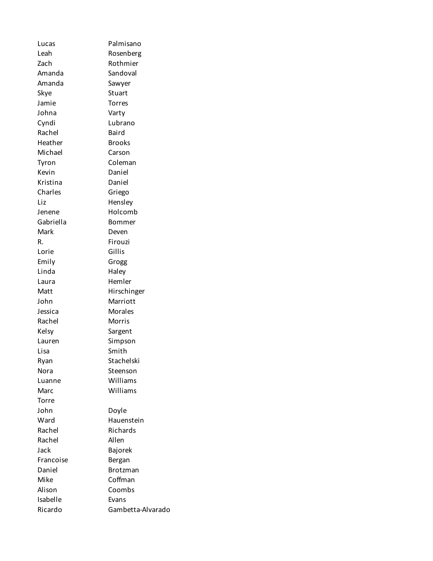Lucas Palmisano Leah Rosenberg Zach Rothmier Amanda Sandoval Amanda Sawyer Skye Stuart Jamie Torres Johna Varty Cyndi Lubrano Rachel Baird Heather Brooks Michael Carson Tyron Coleman Kevin Daniel Kristina Daniel Charles Griego Liz Hensley Jenene Holcomb Gabriella Bommer Mark Deven R. Firouzi Lorie Gillis Emily Grogg Linda Haley Laura Hemler Matt Hirschinger John Marriott Jessica Morales Rachel Morris Kelsy Sargent Lauren Simpson Lisa Smith Ryan Stachelski Nora Steenson Luanne Williams Marc Williams Torre John Doyle Ward Hauenstein Rachel Richards Rachel Allen Jack Bajorek Francoise Bergan Daniel Brotzman Mike Coffman Alison Coombs Isabelle Evans Ricardo Gambetta-Alvarado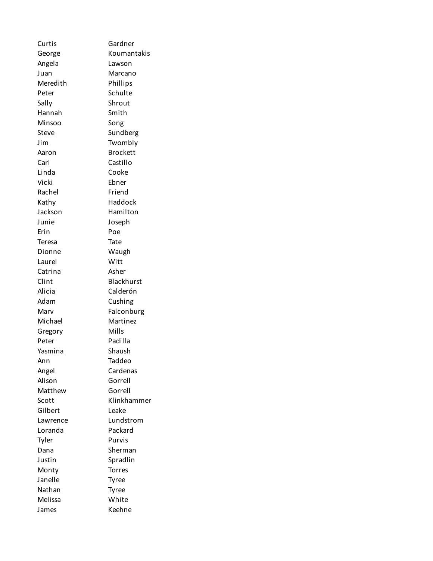Curtis Gardner George Koumantakis Angela Lawson Juan Marcano Meredith Phillips Peter Schulte Sally Shrout Hannah Smith Minsoo Song Steve Sundberg Jim Twombly Aaron Brockett Carl Castillo Linda Cooke Vicki Ebner Rachel Friend Kathy Haddock Jackson Hamilton Junie Joseph Erin Poe Teresa Tate Dionne Waugh Laurel Witt Catrina Asher Clint Blackhurst Alicia Calderón Adam Cushing Marv Falconburg Michael Martinez Gregory Mills Peter Padilla Yasmina Shaush Ann Taddeo Angel Cardenas Alison Gorrell Matthew Gorrell Scott Klinkhammer Gilbert Leake Lawrence Lundstrom Loranda Packard Tyler Purvis Dana Sherman Justin Spradlin Monty Torres Janelle Tyree Nathan Tyree Melissa White James Keehne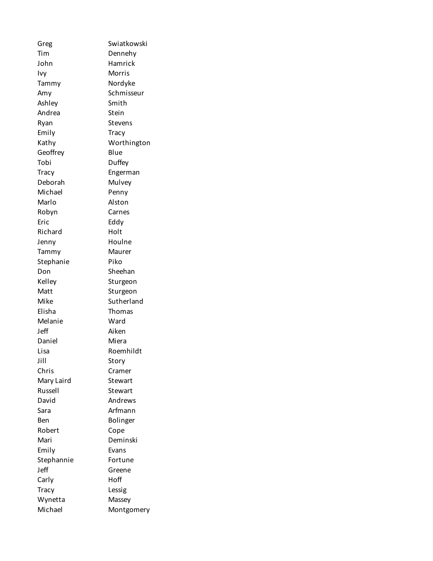Greg Swiatkowski Tim Dennehy John Hamrick Ivy Morris Tammy Nordyke Amy Schmisseur Ashley Smith Andrea Stein Ryan Stevens Emily Tracy Kathy Worthington Geoffrey Blue Tobi Duffey Tracy Engerman Deborah Mulvey Michael Penny Marlo Alston Robyn Carnes Eric Eddy Richard Holt Jenny Houlne Tammy Maurer Stephanie Piko Don Sheehan Kelley Sturgeon Matt Sturgeon Mike Sutherland Elisha Thomas Melanie Ward Jeff Aiken Daniel Miera Lisa Roemhildt Jill Story Chris Cramer Mary Laird Stewart Russell Stewart David Andrews Sara Arfmann Ben Bolinger Robert Cope Mari Deminski Emily Evans Stephannie Fortune Jeff Greene Carly Hoff Tracy Lessig Wynetta Massey Michael Montgomery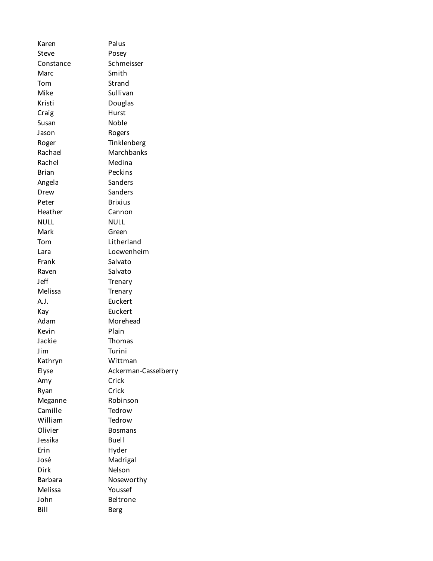| Karen              | Palus                         |
|--------------------|-------------------------------|
| Steve              | Posey                         |
| Constance          | Schmeisser                    |
| Marc               | Smith                         |
| Tom                | Strand                        |
| Mike               | Sullivan                      |
| Kristi             | Douglas                       |
| Craig              | Hurst                         |
| Susan              | Noble                         |
| Jason              | Rogers                        |
| Roger              | Tinklenberg                   |
| Rachael            | Marchbanks                    |
| Rachel             | Medina                        |
| <b>Brian</b>       | Peckins                       |
| Angela             | Sanders                       |
| Drew               | Sanders                       |
| Peter              | <b>Brixius</b>                |
| Heather            | Cannon                        |
| NULL               | <b>NULL</b>                   |
| Mark               | Green                         |
| Tom                | Litherland                    |
| Lara               | Loewenheim                    |
| Frank              | Salvato                       |
| Raven              | Salvato                       |
| Jeff               | Trenary                       |
| Melissa            | Trenary                       |
| A.J.               | Euckert                       |
| Kay                | Euckert                       |
| Adam               | Morehead                      |
| Kevin              | Plain                         |
| Jackie             | Thomas                        |
|                    |                               |
| Jim                | Turini<br>Wittman             |
| Kathryn            |                               |
| Elyse              | Ackerman-Casselberry<br>Crick |
| Amy                | Crick                         |
| Ryan               | Robinson                      |
| Meganne<br>Camille | Tedrow                        |
| William            | Tedrow                        |
|                    |                               |
| Olivier            | <b>Bosmans</b>                |
| Jessika            | <b>Buell</b>                  |
| Erin               | Hyder                         |
| José               | Madrigal                      |
| Dirk               | Nelson                        |
| <b>Barbara</b>     | Noseworthy                    |
| Melissa            | Youssef                       |
| John               | Beltrone                      |
| Bill               | <b>Berg</b>                   |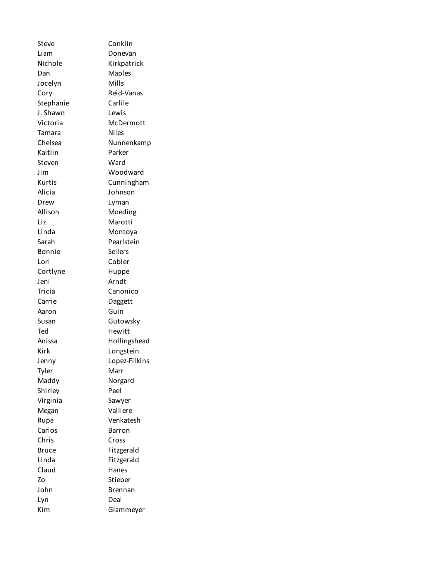Steve Conklin Liam Donevan Nichole Kirkpatrick Dan Maples Jocelyn Mills Cory Reid-Vanas Stephanie Carlile J. Shawn Lewis Victoria McDermott Tamara Niles Chelsea Nunnenkamp Kaitlin Parker Steven Ward Jim Woodward Kurtis Cunningham Alicia Johnson Drew Lyman Allison Moeding Liz Marotti Linda Montoya Sarah Pearlstein Bonnie Sellers Lori Cobler Cortlyne Huppe Jeni Arndt Tricia Canonico Carrie Daggett Aaron Guin Susan Gutowsky Ted Hewitt Anissa Hollingshead Kirk Longstein Jenny Lopez-Filkins Tyler Marr Maddy Norgard Shirley Peel Virginia Sawyer Megan Valliere Rupa Venkatesh Carlos **Barron** Chris Cross Bruce Fitzgerald Linda Fitzgerald Claud Hanes Zo Stieber John Brennan Lyn Deal Kim Glammeyer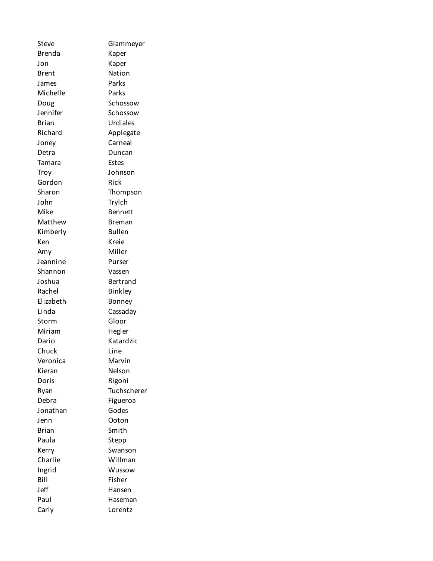Steve Glammeyer Brenda Kaper Jon Kaper Brent Nation James Parks Michelle Parks Doug Schossow Jennifer Schossow Brian Urdiales Richard **Applegate** Joney Carneal Detra Duncan Tamara Estes Troy Johnson Gordon Rick Sharon Thompson John Trylch Mike Bennett Matthew Breman Kimberly Bullen Ken Kreie Amy Miller Jeannine Purser Shannon Vassen Joshua Bertrand Rachel Binkley Elizabeth Bonney Linda Cassaday Storm Gloor Miriam Hegler Dario Katardzic Chuck Line Veronica Marvin Kieran Nelson Doris Rigoni Ryan Tuchscherer Debra Figueroa Jonathan Godes Jenn Ooton Brian Smith Paula Stepp Kerry Swanson Charlie Willman Ingrid Wussow Bill Fisher Jeff Hansen Paul Haseman Carly Lorentz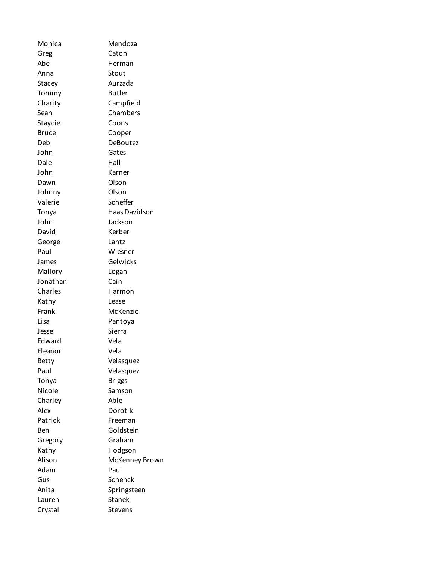| Monica   | Mendoza        |
|----------|----------------|
| Greg     | Caton          |
| Abe      | Herman         |
| Anna     | Stout          |
| Stacey   | Aurzada        |
| Tommy    | <b>Butler</b>  |
| Charity  | Campfield      |
| Sean     | Chambers       |
| Staycie  | Coons          |
| Bruce    | Cooper         |
| Deb      | DeBoutez       |
| John     | Gates          |
| Dale     | Hall           |
| John     | Karner         |
| Dawn     | Olson          |
| Johnny   | Olson          |
| Valerie  | Scheffer       |
| Tonya    | Haas Davidson  |
| John     | Jackson        |
| David    | Kerber         |
| George   | Lantz          |
| Paul     | Wiesner        |
| James    | Gelwicks       |
| Mallory  | Logan          |
| Jonathan | Cain           |
| Charles  | Harmon         |
| Kathy    | Lease          |
| Frank    | McKenzie       |
| Lisa     | Pantoya        |
| Jesse    | Sierra         |
| Edward   | Vela           |
| Eleanor  | Vela           |
| Betty    | Velasquez      |
| Paul     | Velasquez      |
| Tonya    | <b>Briggs</b>  |
| Nicole   | Samson         |
| Charley  | Able           |
| Alex     | Dorotik        |
| Patrick  | Freeman        |
| Ben      | Goldstein      |
| Gregory  | Graham         |
| Kathy    | Hodgson        |
| Alison   | McKenney Brown |
| Adam     | Paul           |
| Gus      | Schenck        |
| Anita    | Springsteen    |
| Lauren   | Stanek         |
| Crystal  | Stevens        |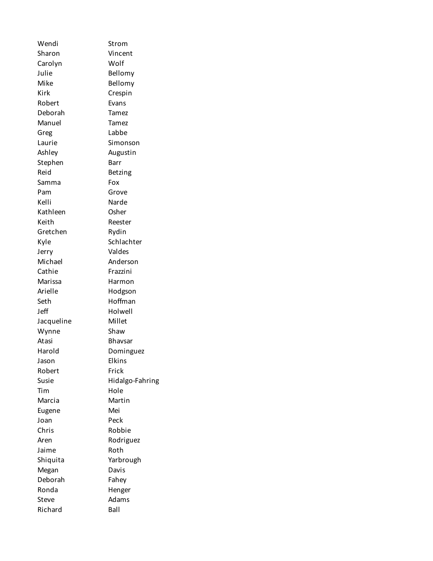Wendi Strom Sharon Vincent Carolyn Wolf Julie Bellomy Mike Bellomy Kirk Crespin Robert Evans Deborah Tamez Manuel Tamez Greg Labbe Laurie Simonson Ashley **Augustin** Stephen Barr Reid Betzing Samma Fox Pam Grove Kelli Narde Kathleen Osher Keith Reester Gretchen Rydin Kyle Schlachter Jerry Valdes Michael Anderson Cathie **Frazzini** Marissa Harmon Arielle Hodgson Seth Hoffman Jeff Holwell Jacqueline Millet Wynne Shaw Atasi Bhavsar Harold Dominguez Jason Elkins Robert Frick Susie Hidalgo-Fahring Tim Hole Marcia Martin Eugene Mei Joan Peck Chris Robbie Aren Rodriguez Jaime Roth Shiquita Yarbrough Megan Davis Deborah Fahey Ronda Henger Steve Adams Richard Ball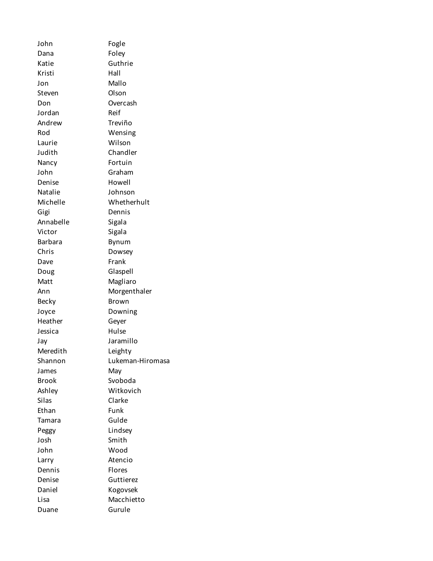John Fogle Dana Foley Katie Guthrie Kristi Hall Jon Mallo Steven Olson Don Overcash Jordan Reif Andrew Treviño Rod Wensing Laurie Wilson Judith Chandler Nancy Fortuin John Graham Denise Howell Natalie Johnson Michelle Whetherhult Gigi Dennis Annabelle Sigala Victor Sigala Barbara Bynum Chris Dowsey Dave Frank Doug Glaspell Matt Magliaro Ann Morgenthaler Becky Brown Joyce Downing Heather Geyer Jessica Hulse Jay Jaramillo Meredith Leighty Shannon Lukeman-Hiromasa James May Brook Svoboda Ashley Witkovich Silas Clarke Ethan Funk Tamara Gulde Peggy Lindsey Josh Smith John Wood Larry Atencio Dennis Flores Denise Guttierez Daniel Kogovsek Lisa Macchietto Duane Gurule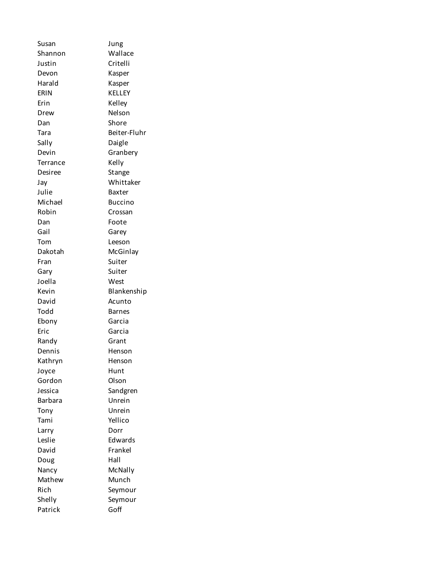Susan Jung Shannon Wallace Justin Critelli Devon Kasper Harald Kasper ERIN KELLEY Erin Kelley Drew Nelson Dan Shore Tara Beiter-Fluhr Sally Daigle Devin Granbery Terrance Kelly Desiree Stange Jay Whittaker Julie Baxter Michael Buccino Robin Crossan Dan Foote Gail **Garey** Tom Leeson Dakotah McGinlay Fran Suiter Gary Suiter Joella West Kevin Blankenship David Acunto Todd Barnes Ebony Garcia Eric Garcia Randy Grant Dennis Henson Kathryn Henson Joyce Hunt Gordon Olson Jessica Sandgren Barbara Unrein Tony Unrein Tami Yellico Larry Dorr Leslie **Edwards** David Frankel Doug Hall Nancy McNally Mathew Munch Rich Seymour Shelly Seymour Patrick Goff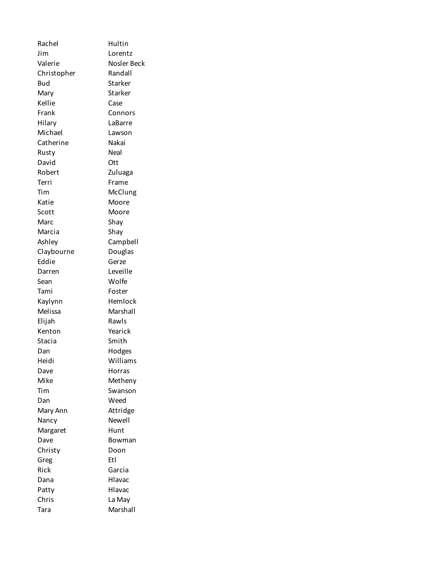Rachel Hultin Jim Lorentz Valerie Nosler Beck Christopher Randall Bud Starker Mary Starker Kellie Case Frank Connors Hilary LaBarre Michael Lawson Catherine Nakai Rusty Neal David Ott Robert Zuluaga Terri Frame Tim McClung Katie Moore Scott Moore Marc Shay Marcia Shay Ashley Campbell Claybourne Douglas Eddie Gerze Darren Leveille Sean Wolfe Tami Foster Kaylynn Hemlock Melissa Marshall Elijah Rawls Kenton Yearick Stacia Smith Dan Hodges Heidi Williams Dave Horras Mike Metheny Tim Swanson Dan Weed Mary Ann Attridge Nancy Newell Margaret Hunt Dave Bowman Christy Doon Greg Etl Rick Garcia Dana Hlavac Patty Hlavac Chris La May Tara Marshall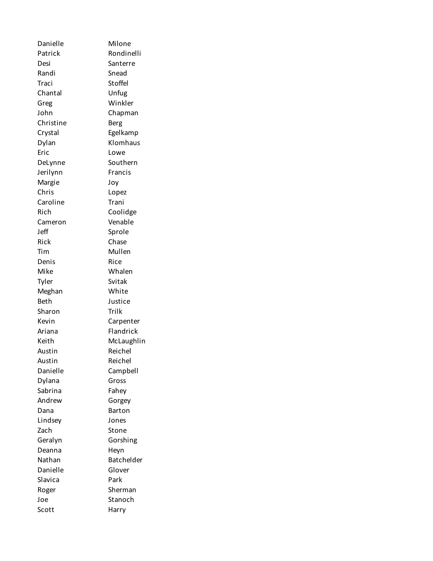Danielle Milone Patrick Rondinelli Desi Santerre Randi Snead Traci Stoffel Chantal Unfug Greg Winkler John Chapman Christine Berg Crystal Egelkamp Dylan Klomhaus Eric Lowe DeLynne Southern Jerilynn Francis Margie Joy Chris Lopez Caroline Trani Rich Coolidge Cameron Venable Jeff Sprole Rick Chase Tim Mullen Denis Rice Mike Whalen Tyler Svitak Meghan White Beth Justice Sharon Trilk Kevin Carpenter Ariana Flandrick Keith McLaughlin Austin Reichel Austin Reichel Danielle Campbell Dylana Gross Sabrina Fahey Andrew Gorgey Dana Barton Lindsey Jones Zach Stone Geralyn Gorshing Deanna Heyn Nathan Batchelder Danielle Glover Slavica Park Roger Sherman Joe Stanoch Scott Harry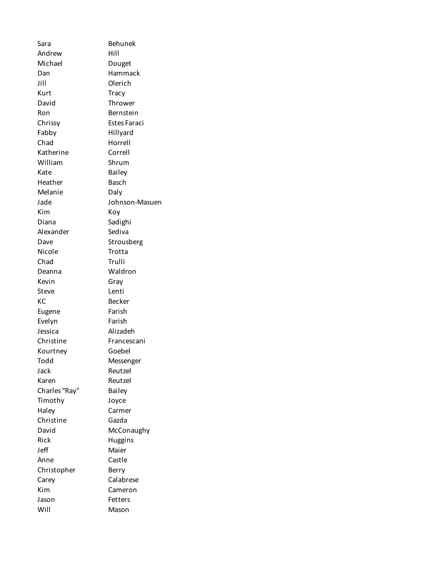Sara Behunek Andrew Hill Michael Douget Dan Hammack Jill Olerich Kurt Tracy David Thrower Ron Bernstein Chrissy Estes Faraci Fabby Hillyard Chad Horrell Katherine Correll William Shrum Kate Bailey Heather Basch Melanie Daly Jade Johnson-Masuen Kim Koy Diana Sadighi Alexander Sediva Dave Strousberg Nicole Trotta Chad Trulli Deanna Waldron Kevin Gray Steve Lenti KC Becker Eugene Farish Evelyn Farish Jessica Alizadeh Christine Francescani Kourtney Goebel Todd Messenger Jack Reutzel Karen Reutzel Charles "Ray" Bailey Timothy Joyce Haley Carmer Christine Gazda David McConaughy Rick Huggins Jeff Maier Anne Castle Christopher Berry Carey Calabrese Kim Cameron Jason Fetters Will Mason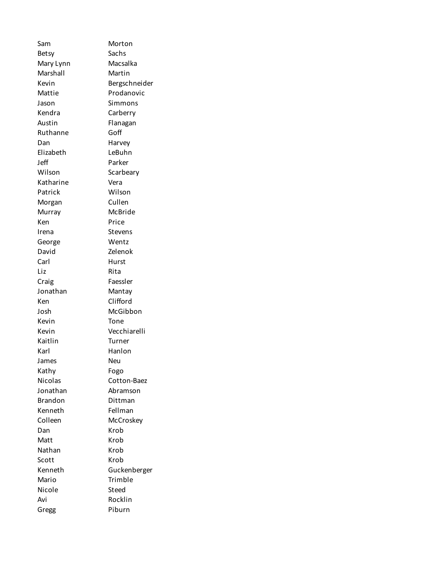Sam Morton Betsy Sachs Mary Lynn Macsalka Marshall Martin Kevin Bergschneider Mattie Prodanovic Jason Simmons Kendra Carberry Austin Flanagan Ruthanne Goff Dan Harvey Elizabeth LeBuhn Jeff Parker Wilson Scarbeary Katharine Vera Patrick Wilson Morgan Cullen Murray McBride Ken Price Irena Stevens George Wentz David Zelenok Carl Hurst Liz Rita Craig Faessler Jonathan Mantay Ken Clifford Josh McGibbon Kevin Tone Kevin Vecchiarelli Kaitlin Turner Karl Hanlon James Neu Kathy Fogo Nicolas Cotton-Baez Jonathan Abramson Brandon Dittman Kenneth Fellman Colleen McCroskey Dan Krob Matt Krob Nathan Krob Scott Krob Kenneth Guckenberger Mario Trimble Nicole Steed Avi Rocklin Gregg Piburn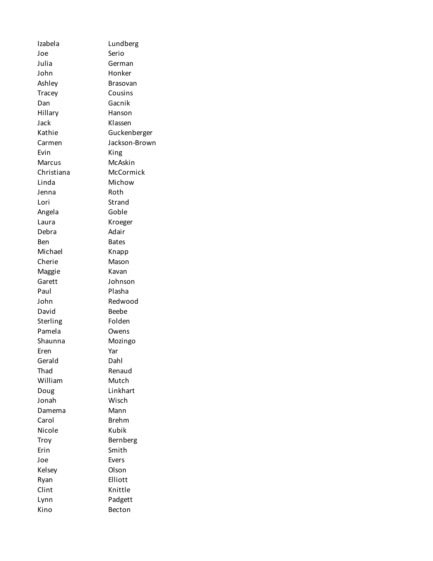Izabela Lundberg Joe Serio Julia German John Honker Ashley Brasovan Tracey Cousins Dan Gacnik Hillary Hanson Jack Klassen Kathie Guckenberger Carmen Jackson-Brown Evin King Marcus McAskin Christiana McCormick Linda Michow Jenna Roth Lori Strand Angela Goble Laura Kroeger Debra Adair Ben Bates Michael Knapp Cherie Mason Maggie Kavan Garett Johnson Paul Plasha John Redwood David Beebe Sterling Folden Pamela Owens Shaunna Mozingo Eren Yar Gerald Dahl Thad Renaud William Mutch Doug Linkhart Jonah Wisch Damema Mann Carol Brehm Nicole Kubik Troy Bernberg Erin Smith Joe Evers Kelsey Olson Ryan Elliott Clint Knittle Lynn Padgett Kino Becton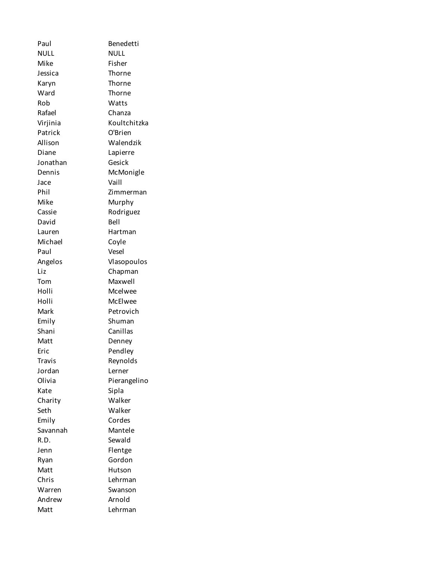Paul Benedetti NULL NULL Mike Fisher Jessica Thorne Karyn Thorne Ward Thorne Rob Watts Rafael Chanza Virjinia Koultchitzka Patrick O'Brien Allison Walendzik Diane Lapierre Jonathan Gesick Dennis McMonigle Jace Vaill Phil Zimmerman Mike Murphy Cassie Rodriguez David Bell Lauren Hartman Michael Coyle Paul Vesel Angelos Vlasopoulos Liz Chapman Tom Maxwell Holli Mcelwee Holli McElwee Mark Petrovich Emily Shuman Shani Canillas Matt Denney Eric Pendley Travis Reynolds Jordan Lerner Olivia Pierangelino Kate Sipla Charity Walker Seth Walker Emily Cordes Savannah Mantele R.D. Sewald Jenn Flentge Ryan Gordon Matt Hutson Chris Lehrman Warren Swanson Andrew Arnold Matt Lehrman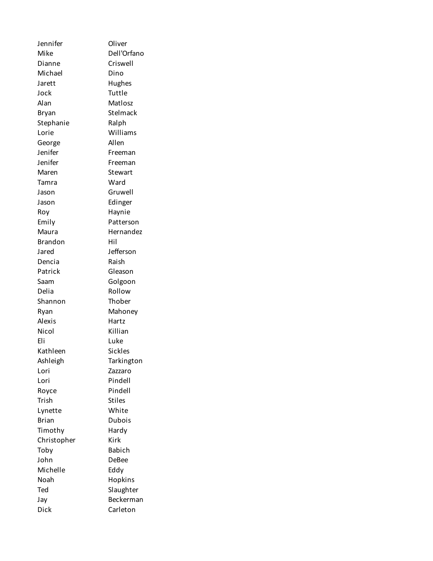Jennifer Oliver Mike Dell'Orfano Dianne Criswell Michael Dino Jarett Hughes Jock Tuttle Alan Matlosz Bryan Stelmack Stephanie Ralph Lorie Williams George Allen Jenifer Freeman Jenifer Freeman Maren Stewart Tamra Ward Jason Gruwell Jason Edinger Roy Haynie Emily Patterson Maura **Hernandez** Brandon Hil Jared Jefferson Dencia Raish Patrick Gleason Saam Golgoon Delia Rollow Shannon Thober Ryan Mahoney Alexis Hartz Nicol Killian Eli Luke Kathleen Sickles Ashleigh Tarkington Lori Zazzaro Lori Pindell Royce Pindell Trish Stiles Lynette White Brian Dubois Timothy Hardy Christopher Kirk Toby Babich John DeBee Michelle Eddy Noah Hopkins Ted Slaughter Jay Beckerman Dick Carleton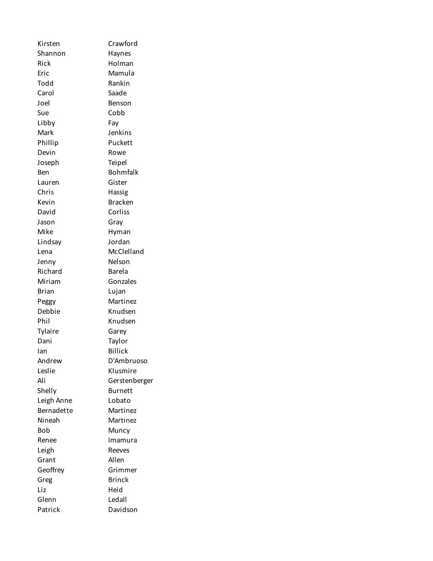Kirsten Crawford Shannon Haynes Rick Holman Eric Mamula Todd Rankin Carol Saade Joel Benson Sue Cobb Libby Fay Mark Jenkins Phillip Puckett Devin Rowe Joseph Teipel Ben Bohmfalk Lauren Gister Chris Hassig Kevin Bracken David Corliss Jason Gray Mike Hyman Lindsay Jordan Lena McClelland Jenny Nelson Richard Barela Miriam Gonzales Brian Lujan Peggy Martinez Debbie Knudsen Phil Knudsen Tylaire Garey Dani Taylor Ian Billick Andrew D'Ambruoso Leslie Klusmire Ali Gerstenberger Shelly **Burnett** Leigh Anne Lobato Bernadette Martinez Nineah Martinez Bob Muncy Renee Imamura Leigh Reeves Grant Allen Geoffrey Grimmer Greg Brinck Liz Heid Glenn Ledall Patrick Davidson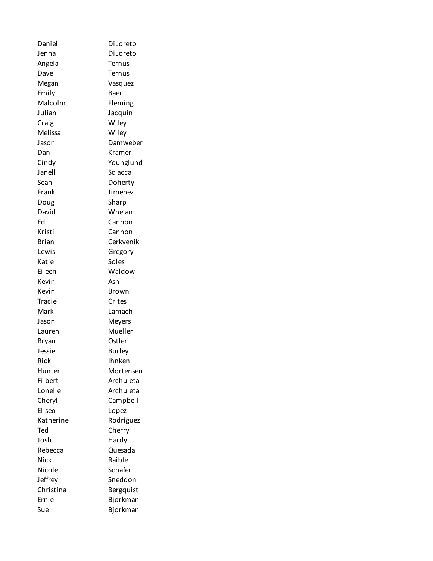| Daniel       | DiLoreto      |
|--------------|---------------|
| Jenna        | DiLoreto      |
| Angela       | Ternus        |
| Dave         | Ternus        |
| Megan        | Vasquez       |
| Emily        | Baer          |
| Malcolm      | Fleming       |
| Julian       | Jacquin       |
| Craig        | Wiley         |
| Melissa      | Wiley         |
| Jason        | Damweber      |
| Dan          | Kramer        |
| Cindy        | Younglund     |
| Janell       | Sciacca       |
| Sean         | Doherty       |
| Frank        | Jimenez       |
| Doug         | Sharp         |
| David        | Whelan        |
| Ed           | Cannon        |
| Kristi       | Cannon        |
| <b>Brian</b> | Cerkvenik     |
| Lewis        | Gregory       |
| Katie        | Soles         |
| Eileen       | Waldow        |
| Kevin        | Ash           |
| Kevin        | Brown         |
| Tracie       | Crites        |
| Mark         | Lamach        |
| Jason        | <b>Meyers</b> |
| Lauren       | Mueller       |
| <b>Bryan</b> | Ostler        |
| Jessie       | <b>Burley</b> |
| Rick         | Ihnken        |
| Hunter       | Mortensen     |
| Filbert      | Archuleta     |
| Lonelle      | Archuleta     |
| Cheryl       | Campbell      |
| Eliseo       | Lopez         |
| Katherine    | Rodriguez     |
| Ted          | Cherry        |
| Josh         | Hardy         |
| Rebecca      | Quesada       |
| <b>Nick</b>  | Raible        |
| Nicole       | Schafer       |
| Jeffrey      | Sneddon       |
| Christina    | Bergquist     |
| Ernie        | Bjorkman      |
| Sue          | Bjorkman      |
|              |               |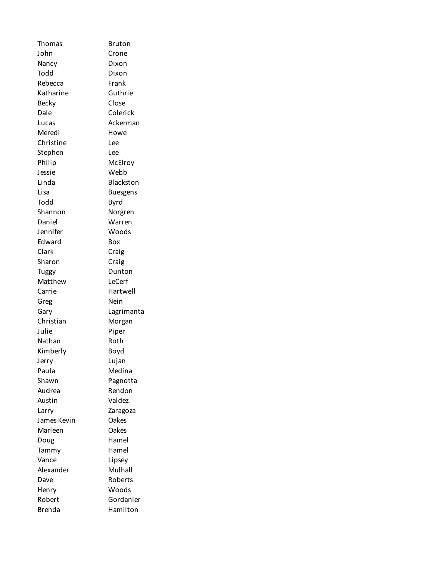Thomas Bruton John Crone Nancy Dixon Todd Dixon Rebecca Frank Katharine Guthrie Becky Close Dale Colerick Lucas Ackerman Meredi Howe Christine Lee Stephen Lee Philip McElroy Jessie Webb Linda Blackston Lisa Buesgens Todd Byrd Shannon Norgren Daniel Warren Jennifer Woods Edward Box Clark Craig Sharon Craig Tuggy Dunton Matthew LeCerf Carrie Hartwell Greg Nein Gary Lagrimanta Christian Morgan Julie Piper Nathan Roth Kimberly Boyd Jerry Lujan Paula Medina Shawn Pagnotta Audrea Rendon Austin Valdez Larry Zaragoza James Kevin Oakes Marleen Oakes Doug Hamel Tammy Hamel Vance Lipsey Alexander Mulhall Dave Roberts Henry Woods Robert Gordanier Brenda Hamilton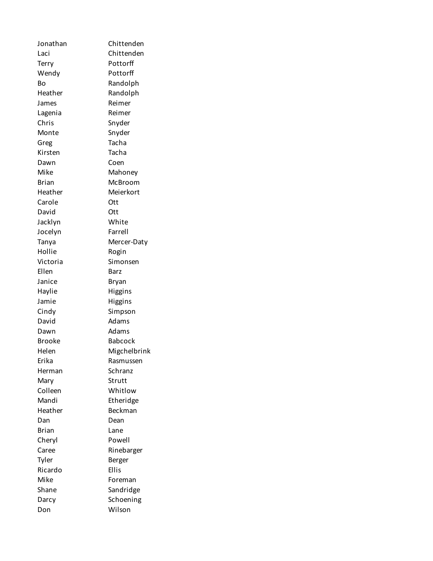Jonathan Chittenden Laci Chittenden Terry Pottorff Wendy Pottorff Bo Randolph Heather Randolph James Reimer Lagenia Reimer Chris Snyder Monte Snyder Greg Tacha Kirsten Tacha Dawn Coen Mike Mahoney Brian McBroom Heather Meierkort Carole Ott David Ott Jacklyn White Jocelyn Farrell Tanya Mercer-Daty Hollie Rogin Victoria Simonsen Ellen Barz Janice Bryan Haylie Higgins Jamie Higgins Cindy Simpson David Adams Dawn Adams Brooke Babcock Helen Migchelbrink Erika Rasmussen Herman Schranz Mary Strutt Colleen Whitlow Mandi Etheridge Heather Beckman Dan Dean Brian Lane Cheryl Powell Caree Rinebarger Tyler **Berger** Ricardo Ellis Mike Foreman Shane Sandridge Darcy Schoening Don Wilson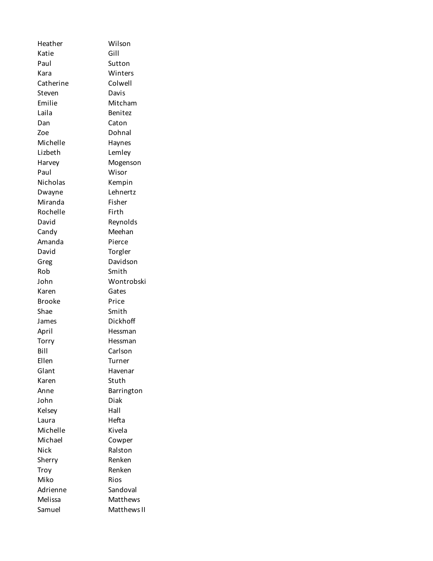Heather Wilson Katie Gill Paul Sutton Kara Winters Catherine Colwell Steven Davis Emilie Mitcham Laila Benitez Dan Caton Zoe Dohnal Michelle Haynes Lizbeth Lemley Harvey Mogenson Paul Wisor Nicholas Kempin Dwayne Lehnertz Miranda Fisher Rochelle Firth David Reynolds Candy Meehan Amanda Pierce David Torgler Greg Davidson Rob Smith John Wontrobski Karen Gates Brooke Price Shae Smith James Dickhoff April Hessman Torry Hessman Bill Carlson Ellen Turner Glant Havenar Karen Stuth Anne Barrington John Diak Kelsey Hall Laura Hefta Michelle Kivela Michael Cowper Nick Ralston Sherry Renken Troy Renken Miko Rios Adrienne Sandoval Melissa Matthews Samuel Matthews II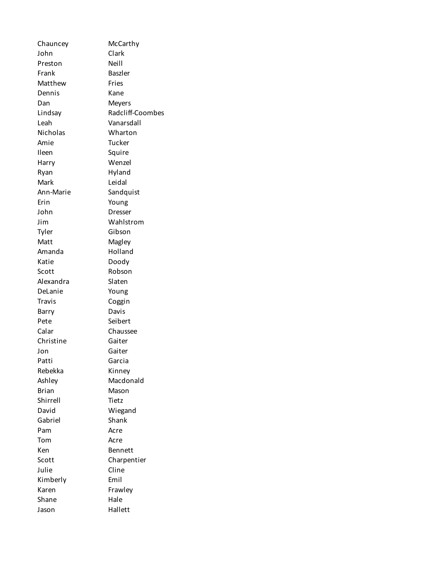| Chauncey      | McCarthy         |
|---------------|------------------|
| John          | Clark            |
| Preston       | Neill            |
| Frank         | <b>Baszler</b>   |
| Matthew       | Fries            |
| Dennis        | Kane             |
| Dan           | <b>Meyers</b>    |
| Lindsay       | Radcliff-Coombes |
| Leah          | Vanarsdall       |
| Nicholas      | Wharton          |
| Amie          | Tucker           |
| Ileen         | Squire           |
| Harry         | Wenzel           |
| Ryan          | Hyland           |
| Mark          | Leidal           |
| Ann-Marie     | Sandquist        |
| Erin          | Young            |
| John          | Dresser          |
| Jim           | Wahlstrom        |
| Tyler         | Gibson           |
| Matt          | Magley           |
| Amanda        | Holland          |
| Katie         | Doody            |
| Scott         | Robson           |
| Alexandra     | Slaten           |
| DeLanie       | Young            |
| <b>Travis</b> | Coggin           |
| Barry         | Davis            |
| Pete          | Seibert          |
| Calar         | Chaussee         |
| Christine     | Gaiter           |
| Jon           | Gaiter           |
| Patti         | Garcia           |
| Rebekka       | Kinney           |
| Ashley        | Macdonald        |
| <b>Brian</b>  | Mason            |
| Shirrell      | Tietz            |
| David         | Wiegand          |
| Gabriel       | Shank            |
| Pam           | Acre             |
| Tom           | Acre             |
| Ken           | Bennett          |
| Scott         | Charpentier      |
| Julie         | Cline            |
| Kimberly      | Emil             |
| Karen         | Frawley          |
| Shane         | Hale             |
| Jason         | Hallett          |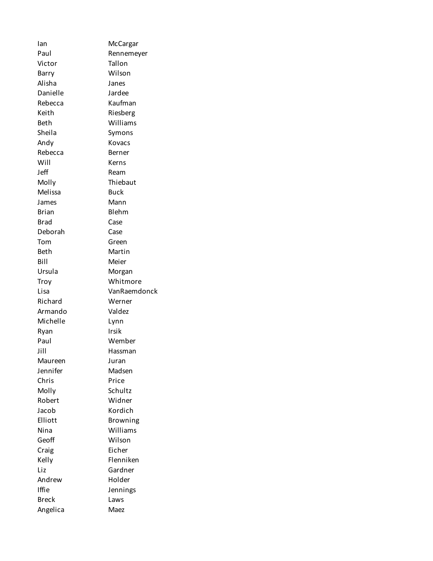Ian McCargar Paul Rennemeyer Victor Tallon Barry Wilson Alisha Janes Danielle Jardee Rebecca Kaufman Keith Riesberg Beth Williams Sheila Symons Andy Kovacs Rebecca Berner Will Kerns Jeff Ream Molly Thiebaut Melissa Buck James Mann Brian Blehm Brad Case Deborah Case Tom Green Beth Martin Bill Meier Ursula Morgan Troy Whitmore Lisa VanRaemdonck Richard Werner Armando Valdez Michelle Lynn Ryan Irsik Paul Wember Jill Hassman Maureen Juran Jennifer Madsen Chris Price Molly Schultz Robert Widner Jacob Kordich Elliott Browning Nina Williams Geoff Wilson Craig Eicher Kelly Flenniken Liz Gardner Andrew Holder Iffie Jennings Breck Laws Angelica Maez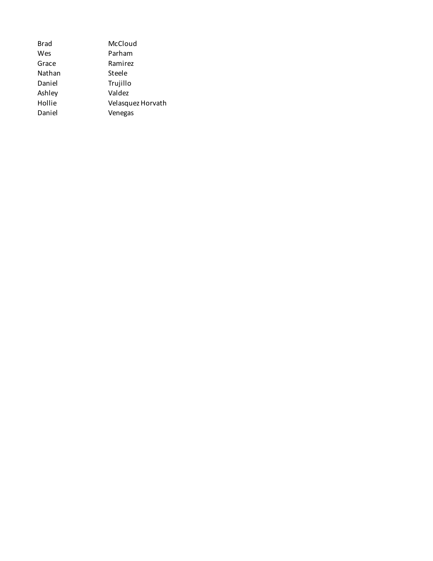| <b>Brad</b> | McCloud           |
|-------------|-------------------|
| Wes         | Parham            |
| Grace       | Ramirez           |
| Nathan      | Steele            |
| Daniel      | Trujillo          |
| Ashley      | Valdez            |
| Hollie      | Velasquez Horvath |
| Daniel      | Venegas           |
|             |                   |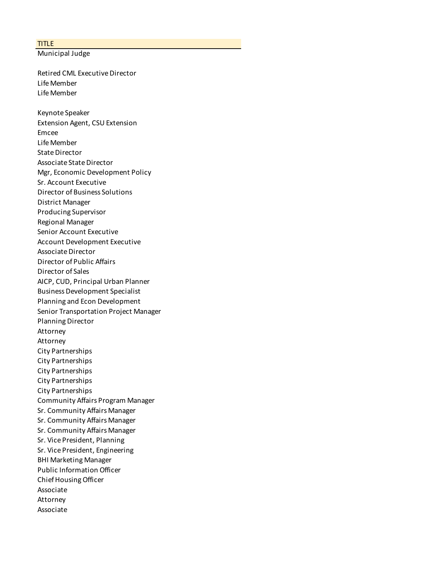## TITLE

Municipal Judge

Retired CML Executive Director Life Member Life Member

Keynote Speaker Extension Agent, CSU Extension Emcee Life Member State Director Associate State Director Mgr, Economic Development Policy Sr. Account Executive Director of Business Solutions District Manager Producing Supervisor Regional Manager Senior Account Executive Account Development Executive Associate Director Director of Public Affairs Director of Sales AICP, CUD, Principal Urban Planner Business Development Specialist Planning and Econ Development Senior Transportation Project Manager Planning Director Attorney Attorney City Partnerships City Partnerships City Partnerships City Partnerships City Partnerships Community Affairs Program Manager Sr. Community Affairs Manager Sr. Community Affairs Manager Sr. Community Affairs Manager Sr. Vice President, Planning Sr. Vice President, Engineering BHI Marketing Manager Public Information Officer Chief Housing Officer Associate Attorney Associate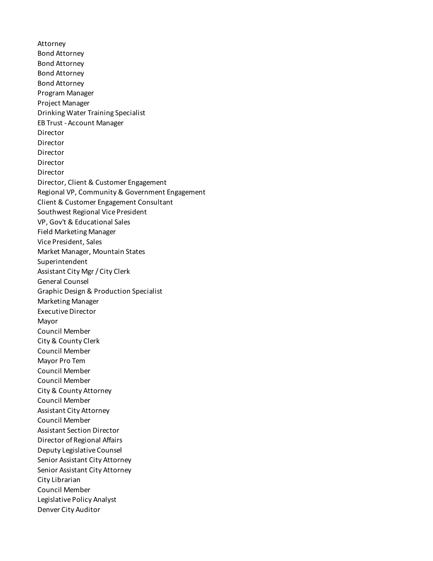Attorney Bond Attorney Bond Attorney Bond Attorney Bond Attorney Program Manager Project Manager Drinking Water Training Specialist EB Trust - Account Manager Director Director Director Director Director Director, Client & Customer Engagement Regional VP, Community & Government Engagement Client & Customer Engagement Consultant Southwest Regional Vice President VP, Gov't & Educational Sales Field Marketing Manager Vice President, Sales Market Manager, Mountain States Superintendent Assistant City Mgr / City Clerk General Counsel Graphic Design & Production Specialist Marketing Manager Executive Director Mayor Council Member City & County Clerk Council Member Mayor Pro Tem Council Member Council Member City & County Attorney Council Member Assistant City Attorney Council Member Assistant Section Director Director of Regional Affairs Deputy Legislative Counsel Senior Assistant City Attorney Senior Assistant City Attorney City Librarian Council Member Legislative Policy Analyst Denver City Auditor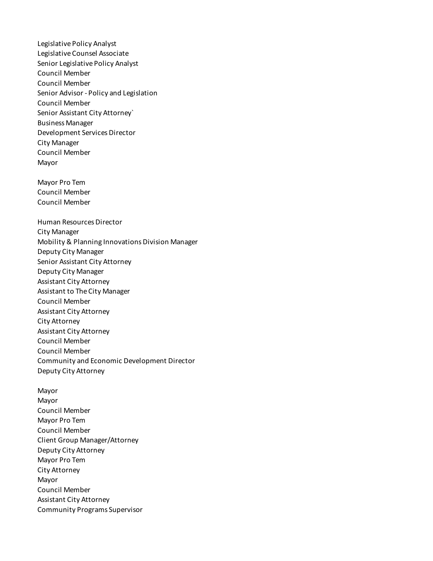Legislative Policy Analyst Legislative Counsel Associate Senior Legislative Policy Analyst Council Member Council Member Senior Advisor - Policy and Legislation Council Member Senior Assistant City Attorney` Business Manager Development Services Director City Manager Council Member Mayor

Mayor Pro Tem Council Member Council Member

Human Resources Director City Manager Mobility & Planning Innovations Division Manager Deputy City Manager Senior Assistant City Attorney Deputy City Manager Assistant City Attorney Assistant to The City Manager Council Member Assistant City Attorney City Attorney Assistant City Attorney Council Member Council Member Community and Economic Development Director Deputy City Attorney

Mayor Mayor Council Member Mayor Pro Tem Council Member Client Group Manager/Attorney Deputy City Attorney Mayor Pro Tem City Attorney Mayor Council Member Assistant City Attorney Community Programs Supervisor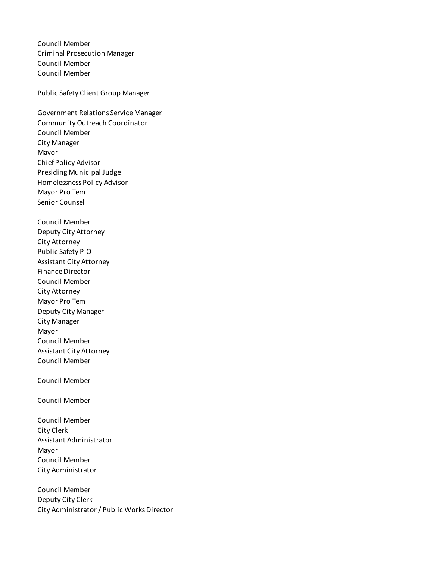Council Member Criminal Prosecution Manager Council Member Council Member

Public Safety Client Group Manager

Government Relations Service Manager Community Outreach Coordinator Council Member City Manager Mayor Chief Policy Advisor Presiding Municipal Judge Homelessness Policy Advisor Mayor Pro Tem Senior Counsel

Council Member Deputy City Attorney City Attorney Public Safety PIO Assistant City Attorney Finance Director Council Member City Attorney Mayor Pro Tem Deputy City Manager City Manager Mayor Council Member Assistant City Attorney Council Member

Council Member

Council Member

Council Member City Clerk Assistant Administrator Mayor Council Member City Administrator

Council Member Deputy City Clerk City Administrator / Public Works Director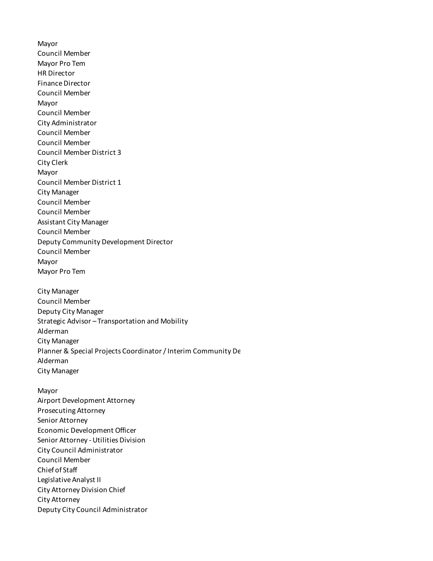Mayor Council Member Mayor Pro Tem HR Director Finance Director Council Member Mayor Council Member City Administrator Council Member Council Member Council Member District 3 City Clerk Mayor Council Member District 1 City Manager Council Member Council Member Assistant City Manager Council Member Deputy Community Development Director Council Member Mayor Mayor Pro Tem City Manager Council Member Deputy City Manager Strategic Advisor – Transportation and Mobility Alderman City Manager Planner & Special Projects Coordinator / Interim Community De Alderman City Manager Mayor Airport Development Attorney Prosecuting Attorney Senior Attorney Economic Development Officer Senior Attorney - Utilities Division City Council Administrator Council Member Chief of Staff Legislative Analyst II City Attorney Division Chief

City Attorney

Deputy City Council Administrator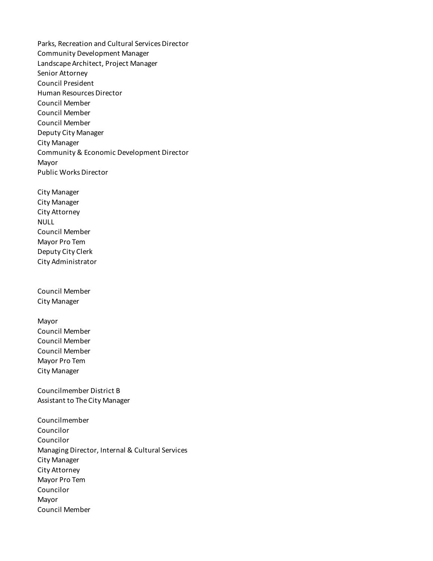Parks, Recreation and Cultural Services Director Community Development Manager Landscape Architect, Project Manager Senior Attorney Council President Human Resources Director Council Member Council Member Council Member Deputy City Manager City Manager Community & Economic Development Director Mayor Public Works Director

City Manager City Manager City Attorney NULL Council Member Mayor Pro Tem Deputy City Clerk City Administrator

Council Member City Manager

Mayor Council Member Council Member Council Member Mayor Pro Tem City Manager

Councilmember District B Assistant to The City Manager

Councilmember Councilor Councilor Managing Director, Internal & Cultural Services City Manager City Attorney Mayor Pro Tem Councilor Mayor Council Member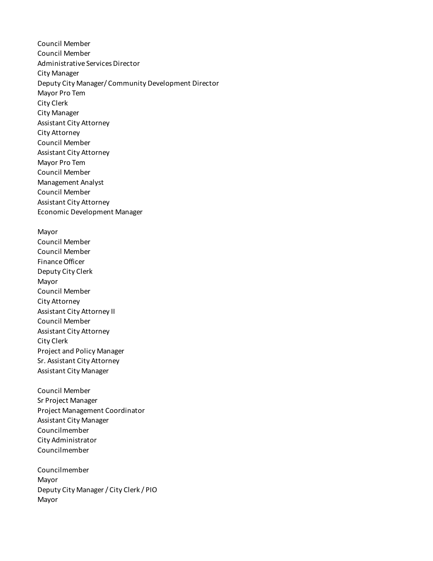Council Member Council Member Administrative Services Director City Manager Deputy City Manager/ Community Development Director Mayor Pro Tem City Clerk City Manager Assistant City Attorney City Attorney Council Member Assistant City Attorney Mayor Pro Tem Council Member Management Analyst Council Member Assistant City Attorney Economic Development Manager Mayor Council Member Council Member Finance Officer Deputy City Clerk Mayor Council Member City Attorney Assistant City Attorney II Council Member Assistant City Attorney City Clerk Project and Policy Manager Sr. Assistant City Attorney Assistant City Manager Council Member Sr Project Manager Project Management Coordinator Assistant City Manager Councilmember City Administrator Councilmember Councilmember Mayor Deputy City Manager / City Clerk / PIO

Mayor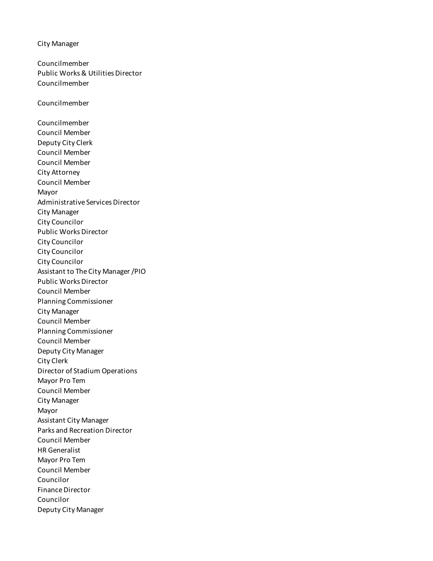City Manager

Councilmember Public Works & Utilities Director Councilmember

Councilmember

Councilmember Council Member Deputy City Clerk Council Member Council Member City Attorney Council Member Mayor Administrative Services Director City Manager City Councilor Public Works Director City Councilor City Councilor City Councilor Assistant to The City Manager /PIO Public Works Director Council Member Planning Commissioner City Manager Council Member Planning Commissioner Council Member Deputy City Manager City Clerk Director of Stadium Operations Mayor Pro Tem Council Member City Manager Mayor Assistant City Manager Parks and Recreation Director Council Member HR Generalist Mayor Pro Tem Council Member Councilor Finance Director Councilor Deputy City Manager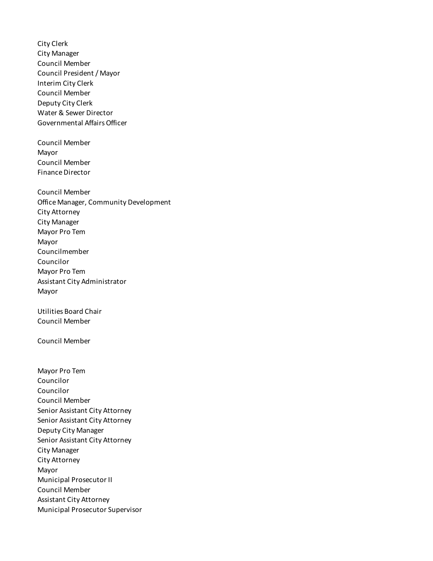City Clerk City Manager Council Member Council President / Mayor Interim City Clerk Council Member Deputy City Clerk Water & Sewer Director Governmental Affairs Officer Council Member Mayor Council Member Finance Director Council Member Office Manager, Community Development City Attorney City Manager Mayor Pro Tem Mayor Councilmember Councilor Mayor Pro Tem Assistant City Administrator Mayor Utilities Board Chair Council Member Council Member Mayor Pro Tem Councilor Councilor Council Member Senior Assistant City Attorney Senior Assistant City Attorney Deputy City Manager Senior Assistant City Attorney City Manager City Attorney Mayor Municipal Prosecutor II Council Member Assistant City Attorney Municipal Prosecutor Supervisor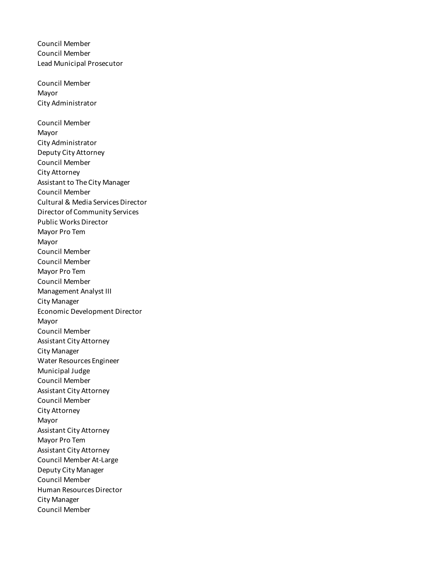Council Member Council Member Lead Municipal Prosecutor Council Member Mayor City Administrator Council Member Mayor City Administrator Deputy City Attorney Council Member City Attorney Assistant to The City Manager Council Member Cultural & Media Services Director Director of Community Services Public Works Director Mayor Pro Tem Mayor Council Member Council Member Mayor Pro Tem Council Member Management Analyst III City Manager Economic Development Director Mayor Council Member Assistant City Attorney City Manager Water Resources Engineer Municipal Judge Council Member Assistant City Attorney Council Member City Attorney Mayor Assistant City Attorney Mayor Pro Tem Assistant City Attorney Council Member At-Large Deputy City Manager Council Member Human Resources Director City Manager Council Member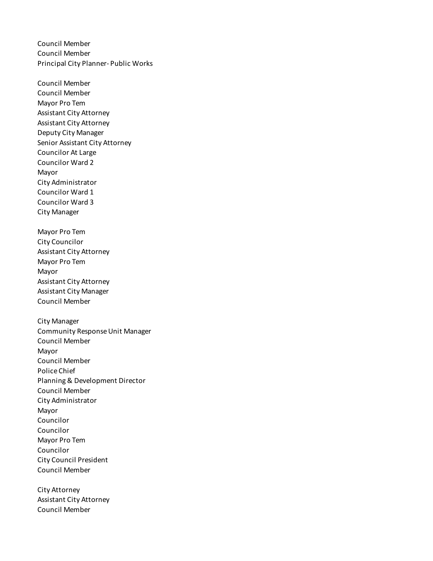Council Member Council Member Principal City Planner- Public Works

Council Member Council Member Mayor Pro Tem Assistant City Attorney Assistant City Attorney Deputy City Manager Senior Assistant City Attorney Councilor At Large Councilor Ward 2 Mayor City Administrator Councilor Ward 1 Councilor Ward 3 City Manager Mayor Pro Tem City Councilor Assistant City Attorney Mayor Pro Tem Mayor Assistant City Attorney Assistant City Manager Council Member City Manager Community Response Unit Manager Council Member Mayor Council Member Police Chief Planning & Development Director Council Member City Administrator Mayor Councilor Councilor Mayor Pro Tem Councilor City Council President Council Member

City Attorney Assistant City Attorney Council Member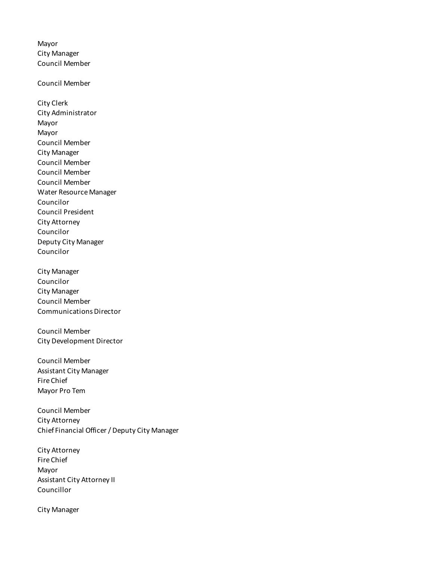Mayor City Manager Council Member

Council Member

City Clerk City Administrator Mayor Mayor Council Member City Manager Council Member Council Member Council Member Water Resource Manager Councilor Council President City Attorney Councilor Deputy City Manager Councilor

City Manager Councilor City Manager Council Member Communications Director

Council Member City Development Director

Council Member Assistant City Manager Fire Chief Mayor Pro Tem

Council Member City Attorney Chief Financial Officer / Deputy City Manager

City Attorney Fire Chief Mayor Assistant City Attorney II Councillor

City Manager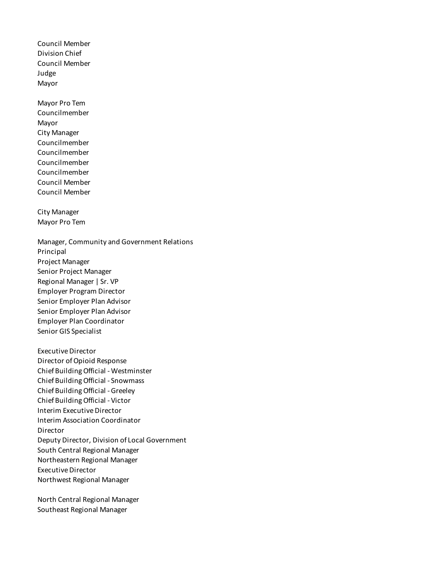Council Member Division Chief Council Member Judge Mayor

Mayor Pro Tem Councilmember Mayor City Manager Councilmember Councilmember Councilmember Councilmember Council Member Council Member

City Manager Mayor Pro Tem

Manager, Community and Government Relations Principal Project Manager Senior Project Manager Regional Manager | Sr. VP Employer Program Director Senior Employer Plan Advisor Senior Employer Plan Advisor Employer Plan Coordinator Senior GIS Specialist

Executive Director Director of Opioid Response Chief Building Official - Westminster Chief Building Official - Snowmass Chief Building Official - Greeley Chief Building Official - Victor Interim Executive Director Interim Association Coordinator Director Deputy Director, Division of Local Government South Central Regional Manager Northeastern Regional Manager Executive Director Northwest Regional Manager

North Central Regional Manager Southeast Regional Manager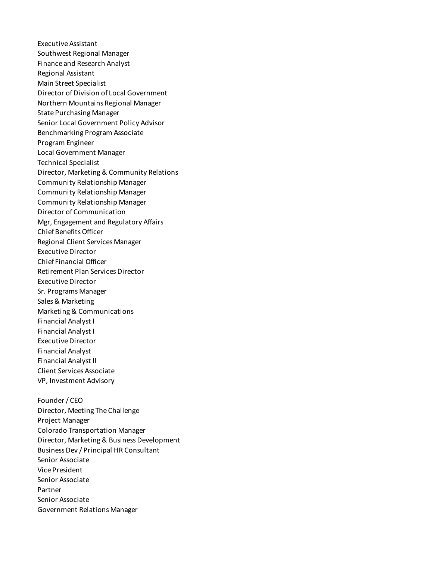Executive Assistant Southwest Regional Manager Finance and Research Analyst Regional Assistant Main Street Specialist Director of Division of Local Government Northern Mountains Regional Manager State Purchasing Manager Senior Local Government Policy Advisor Benchmarking Program Associate Program Engineer Local Government Manager Technical Specialist Director, Marketing & Community Relations Community Relationship Manager Community Relationship Manager Community Relationship Manager Director of Communication Mgr, Engagement and Regulatory Affairs Chief Benefits Officer Regional Client Services Manager Executive Director Chief Financial Officer Retirement Plan Services Director Executive Director Sr. Programs Manager Sales & Marketing Marketing & Communications Financial Analyst I Financial Analyst I Executive Director Financial Analyst Financial Analyst II Client Services Associate VP, Investment Advisory Founder / CEO

Director, Meeting The Challenge Project Manager Colorado Transportation Manager Director, Marketing & Business Development Business Dev / Principal HR Consultant Senior Associate Vice President Senior Associate Partner Senior Associate Government Relations Manager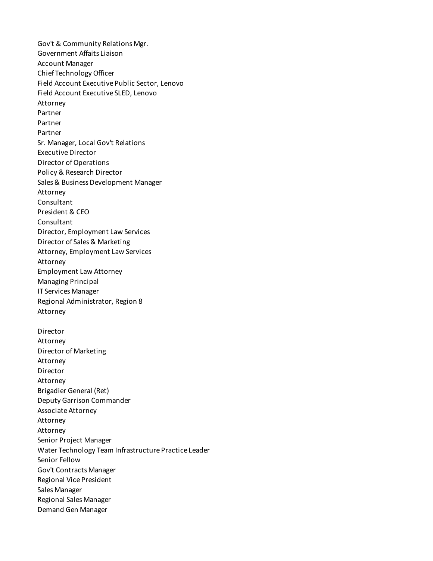Gov't & Community Relations Mgr. Government Affaits Liaison Account Manager Chief Technology Officer Field Account Executive Public Sector, Lenovo Field Account Executive SLED, Lenovo Attorney Partner Partner Partner Sr. Manager, Local Gov't Relations Executive Director Director of Operations Policy & Research Director Sales & Business Development Manager Attorney Consultant President & CEO Consultant Director, Employment Law Services Director of Sales & Marketing Attorney, Employment Law Services Attorney Employment Law Attorney Managing Principal IT Services Manager Regional Administrator, Region 8 Attorney Director Attorney Director of Marketing Attorney Director Attorney Brigadier General (Ret) Deputy Garrison Commander Associate Attorney Attorney Attorney Senior Project Manager Water Technology Team Infrastructure Practice Leader Senior Fellow Gov't Contracts Manager Regional Vice President Sales Manager Regional Sales Manager Demand Gen Manager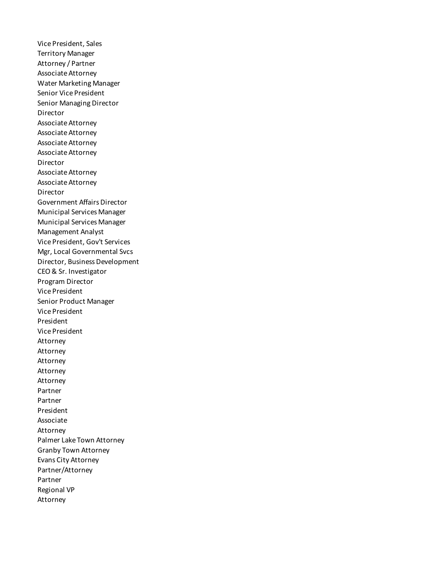Vice President, Sales Territory Manager Attorney / Partner Associate Attorney Water Marketing Manager Senior Vice President Senior Managing Director Director Associate Attorney Associate Attorney Associate Attorney Associate Attorney Director Associate Attorney Associate Attorney Director Government Affairs Director Municipal Services Manager Municipal Services Manager Management Analyst Vice President, Gov't Services Mgr, Local Governmental Svcs Director, Business Development CEO & Sr. Investigator Program Director Vice President Senior Product Manager Vice President President Vice President Attorney Attorney Attorney Attorney Attorney Partner Partner President Associate Attorney Palmer Lake Town Attorney Granby Town Attorney Evans City Attorney Partner/Attorney Partner Regional VP Attorney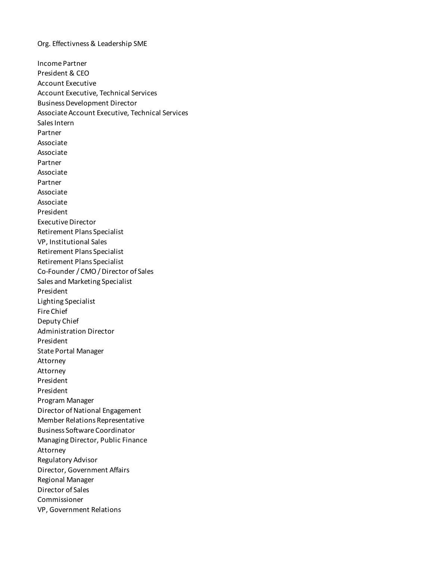Org. Effectivness & Leadership SME

Income Partner President & CEO Account Executive Account Executive, Technical Services Business Development Director Associate Account Executive, Technical Services Sales Intern Partner Associate Associate Partner Associate Partner Associate Associate President Executive Director Retirement Plans Specialist VP, Institutional Sales Retirement Plans Specialist Retirement Plans Specialist Co-Founder / CMO / Director of Sales Sales and Marketing Specialist President Lighting Specialist Fire Chief Deputy Chief Administration Director President State Portal Manager Attorney Attorney President President Program Manager Director of National Engagement Member Relations Representative Business Software Coordinator Managing Director, Public Finance Attorney Regulatory Advisor Director, Government Affairs Regional Manager Director of Sales Commissioner VP, Government Relations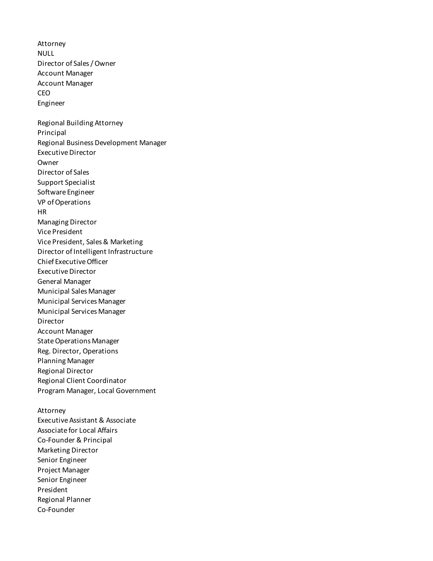Attorney NULL Director of Sales / Owner Account Manager Account Manager CEO Engineer Regional Building Attorney Principal Regional Business Development Manager Executive Director Owner Director of Sales Support Specialist Software Engineer VP of Operations HR Managing Director Vice President Vice President, Sales & Marketing Director of Intelligent Infrastructure Chief Executive Officer Executive Director General Manager Municipal Sales Manager Municipal Services Manager Municipal Services Manager Director Account Manager State Operations Manager Reg. Director, Operations Planning Manager Regional Director Regional Client Coordinator Program Manager, Local Government Attorney Executive Assistant & Associate Associate for Local Affairs Co-Founder & Principal Marketing Director Senior Engineer Project Manager Senior Engineer President

Regional Planner Co-Founder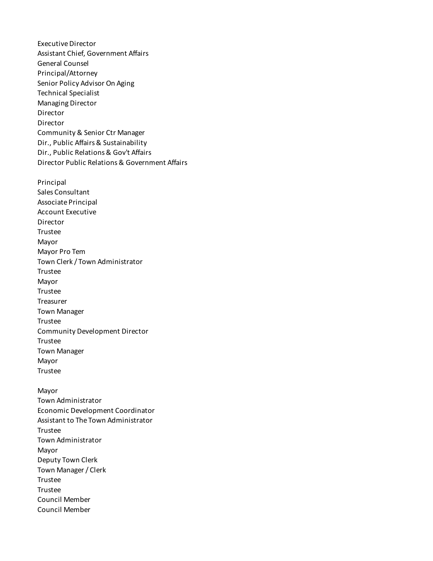Executive Director Assistant Chief, Government Affairs General Counsel Principal/Attorney Senior Policy Advisor On Aging Technical Specialist Managing Director Director Director Community & Senior Ctr Manager Dir., Public Affairs & Sustainability Dir., Public Relations & Gov't Affairs Director Public Relations & Government Affairs Principal Sales Consultant Associate Principal Account Executive Director Trustee Mayor Mayor Pro Tem Town Clerk / Town Administrator Trustee Mayor Trustee **Treasurer** Town Manager Trustee Community Development Director Trustee Town Manager Mayor Trustee Mayor Town Administrator Economic Development Coordinator Assistant to The Town Administrator Trustee Town Administrator Mayor Deputy Town Clerk Town Manager / Clerk Trustee Trustee Council Member

Council Member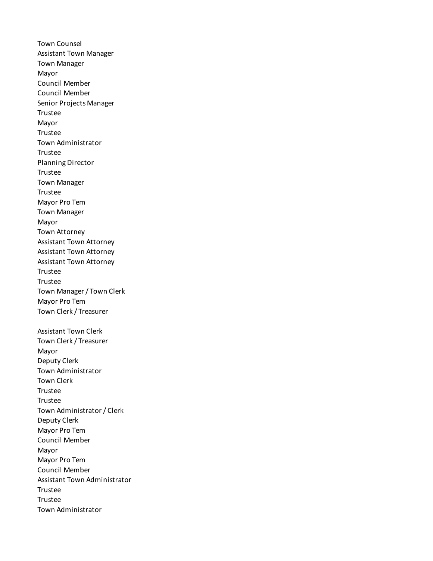Town Counsel Assistant Town Manager Town Manager Mayor Council Member Council Member Senior Projects Manager Trustee Mayor Trustee Town Administrator Trustee Planning Director Trustee Town Manager Trustee Mayor Pro Tem Town Manager Mayor Town Attorney Assistant Town Attorney Assistant Town Attorney Assistant Town Attorney Trustee Trustee Town Manager / Town Clerk Mayor Pro Tem Town Clerk / Treasurer Assistant Town Clerk Town Clerk / Treasurer Mayor Deputy Clerk Town Administrator Town Clerk Trustee Trustee Town Administrator / Clerk Deputy Clerk Mayor Pro Tem Council Member Mayor Mayor Pro Tem Council Member Assistant Town Administrator Trustee Trustee Town Administrator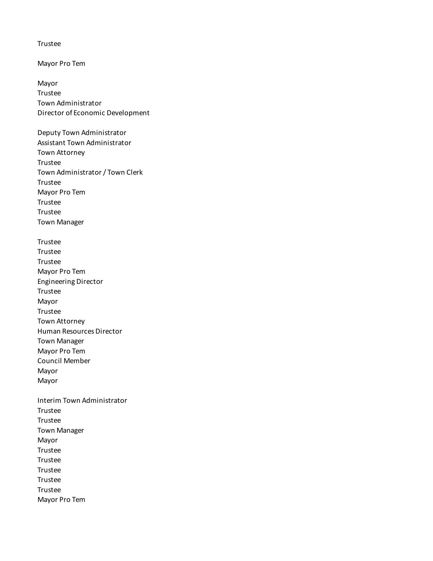Trustee

Mayor Pro Tem

Mayor Trustee Town Administrator Director of Economic Development

Deputy Town Administrator Assistant Town Administrator Town Attorney Trustee Town Administrator / Town Clerk Trustee Mayor Pro Tem Trustee Trustee Town Manager Trustee Trustee Trustee Mayor Pro Tem Engineering Director Trustee Mayor Trustee Town Attorney Human Resources Director Town Manager Mayor Pro Tem Council Member Mayor Mayor Interim Town Administrator Trustee Trustee Town Manager Mayor Trustee Trustee Trustee Trustee Trustee Mayor Pro Tem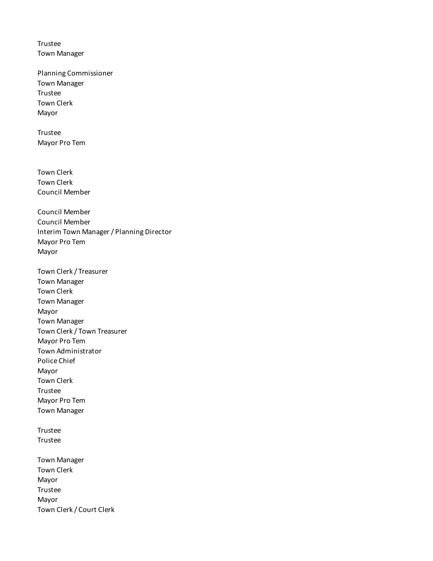Trustee Town Manager

Planning Commissioner Town Manager Trustee Town Clerk Mayor

Trustee Mayor Pro Tem

Town Clerk Town Clerk Council Member

Council Member Council Member Interim Town Manager / Planning Director Mayor Pro Tem Mayor

Town Clerk / Treasurer Town Manager Town Clerk Town Manager Mayor Town Manager Town Clerk / Town Treasurer Mayor Pro Tem Town Administrator Police Chief Mayor Town Clerk Trustee Mayor Pro Tem Town Manager

Trustee Trustee

Town Manager Town Clerk Mayor Trustee Mayor Town Clerk / Court Clerk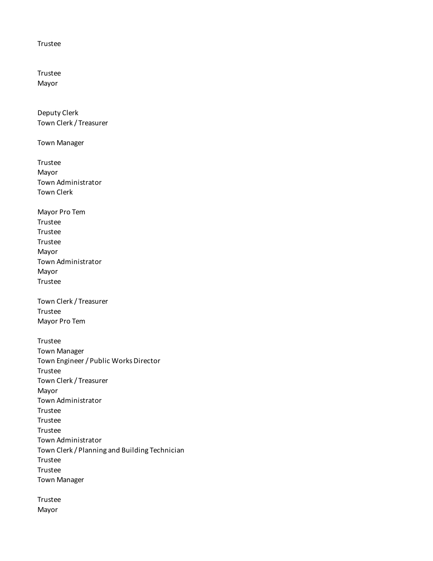## Trustee

Trustee Mayor

Deputy Clerk Town Clerk / Treasurer

Town Manager

Trustee Mayor Town Administrator Town Clerk

Mayor Pro Tem Trustee Trustee Trustee Mayor Town Administrator Mayor Trustee

Town Clerk / Treasurer Trustee Mayor Pro Tem

Trustee Town Manager Town Engineer / Public Works Director Trustee Town Clerk / Treasurer Mayor Town Administrator Trustee Trustee Trustee Town Administrator Town Clerk / Planning and Building Technician Trustee Trustee Town Manager

Trustee Mayor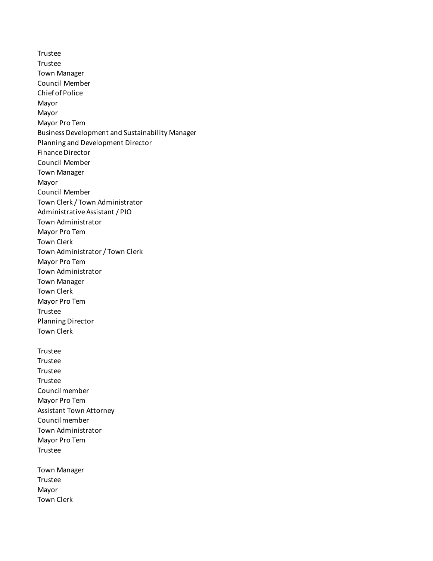Trustee Trustee Town Manager Council Member Chief of Police Mayor Mayor Mayor Pro Tem Business Development and Sustainability Manager Planning and Development Director Finance Director Council Member Town Manager Mayor Council Member Town Clerk / Town Administrator Administrative Assistant / PIO Town Administrator Mayor Pro Tem Town Clerk Town Administrator / Town Clerk Mayor Pro Tem Town Administrator Town Manager Town Clerk Mayor Pro Tem Trustee Planning Director Town Clerk Trustee Trustee Trustee Trustee Councilmember Mayor Pro Tem Assistant Town Attorney Councilmember Town Administrator Mayor Pro Tem Trustee Town Manager Trustee

Mayor Town Clerk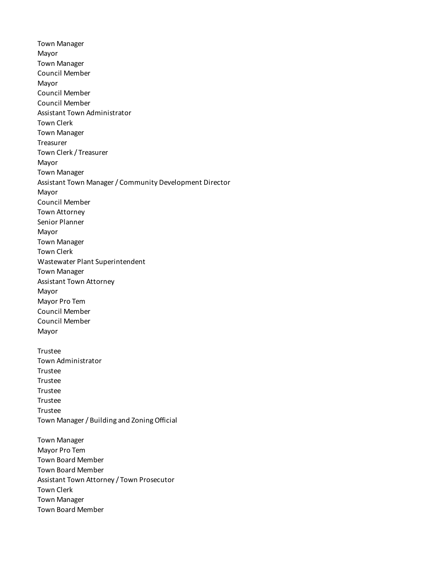Town Manager Mayor Town Manager Council Member Mayor Council Member Council Member Assistant Town Administrator Town Clerk Town Manager Treasurer Town Clerk / Treasurer Mayor Town Manager Assistant Town Manager / Community Development Director Mayor Council Member Town Attorney Senior Planner Mayor Town Manager Town Clerk Wastewater Plant Superintendent Town Manager Assistant Town Attorney Mayor Mayor Pro Tem Council Member Council Member Mayor Trustee Town Administrator Trustee Trustee Trustee Trustee Trustee Town Manager / Building and Zoning Official Town Manager Mayor Pro Tem Town Board Member Town Board Member Assistant Town Attorney / Town Prosecutor Town Clerk Town Manager Town Board Member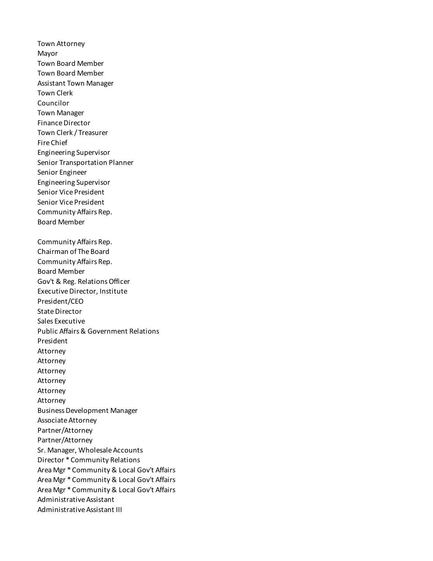Town Attorney Mayor Town Board Member Town Board Member Assistant Town Manager Town Clerk Councilor Town Manager Finance Director Town Clerk / Treasurer Fire Chief Engineering Supervisor Senior Transportation Planner Senior Engineer Engineering Supervisor Senior Vice President Senior Vice President Community Affairs Rep. Board Member Community Affairs Rep. Chairman of The Board Community Affairs Rep. Board Member Gov't & Reg. Relations Officer Executive Director, Institute President/CEO State Director Sales Executive Public Affairs & Government Relations President Attorney Attorney Attorney Attorney Attorney Attorney Business Development Manager Associate Attorney Partner/Attorney Partner/Attorney Sr. Manager, Wholesale Accounts Director \* Community Relations Area Mgr \* Community & Local Gov't Affairs Area Mgr \* Community & Local Gov't Affairs Area Mgr \* Community & Local Gov't Affairs Administrative Assistant Administrative Assistant III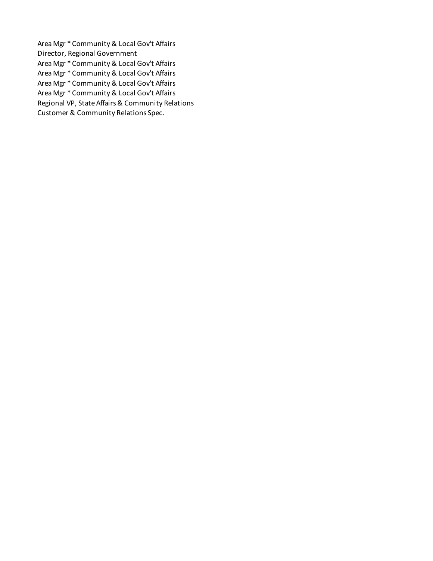Area Mgr \* Community & Local Gov't Affairs Director, Regional Government Area Mgr \* Community & Local Gov't Affairs Area Mgr \* Community & Local Gov't Affairs Area Mgr \* Community & Local Gov't Affairs Area Mgr \* Community & Local Gov't Affairs Regional VP, State Affairs & Community Relations Customer & Community Relations Spec.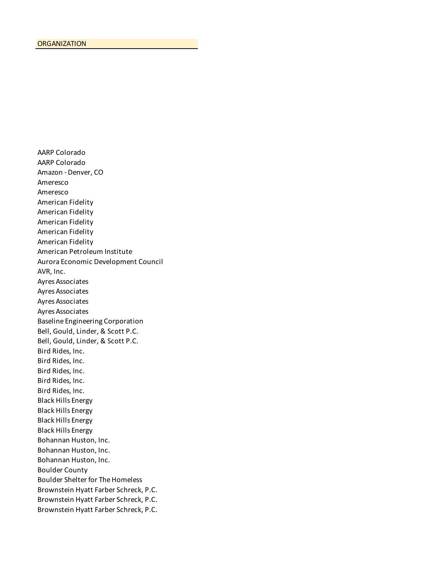AARP Colorado AARP Colorado Amazon - Denver, CO Ameresco Ameresco American Fidelity American Fidelity American Fidelity American Fidelity American Fidelity American Petroleum Institute Aurora Economic Development Council AVR, Inc. Ayres Associates Ayres Associates Ayres Associates Ayres Associates Baseline Engineering Corporation Bell, Gould, Linder, & Scott P.C. Bell, Gould, Linder, & Scott P.C. Bird Rides, Inc. Bird Rides, Inc. Bird Rides, Inc. Bird Rides, Inc. Bird Rides, Inc. Black Hills Energy Black Hills Energy Black Hills Energy Black Hills Energy Bohannan Huston, Inc. Bohannan Huston, Inc. Bohannan Huston, Inc. Boulder County Boulder Shelter for The Homeless Brownstein Hyatt Farber Schreck, P.C. Brownstein Hyatt Farber Schreck, P.C. Brownstein Hyatt Farber Schreck, P.C.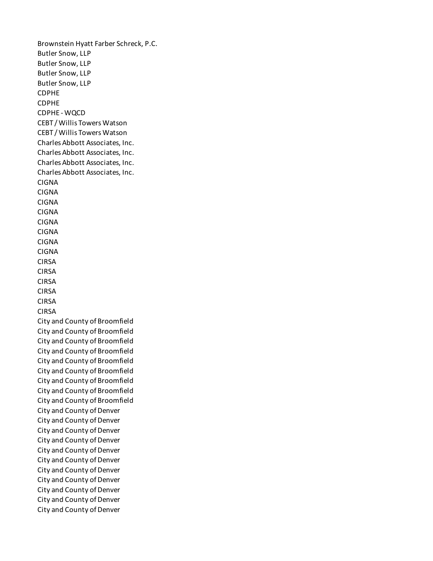Brownstein Hyatt Farber Schreck, P.C. Butler Snow, LLP Butler Snow, LLP Butler Snow, LLP Butler Snow, LLP CDPHE CDPHE CDPHE - WQCD CEBT / Willis Towers Watson CEBT / Willis Towers Watson Charles Abbott Associates, Inc. Charles Abbott Associates, Inc. Charles Abbott Associates, Inc. Charles Abbott Associates, Inc. CIGNA CIGNA CIGNA CIGNA CIGNA CIGNA CIGNA CIGNA CIRSA CIRSA CIRSA CIRSA CIRSA CIRSA City and County of Broomfield City and County of Broomfield City and County of Broomfield City and County of Broomfield City and County of Broomfield City and County of Broomfield City and County of Broomfield City and County of Broomfield City and County of Broomfield City and County of Denver City and County of Denver City and County of Denver City and County of Denver City and County of Denver City and County of Denver City and County of Denver City and County of Denver City and County of Denver City and County of Denver City and County of Denver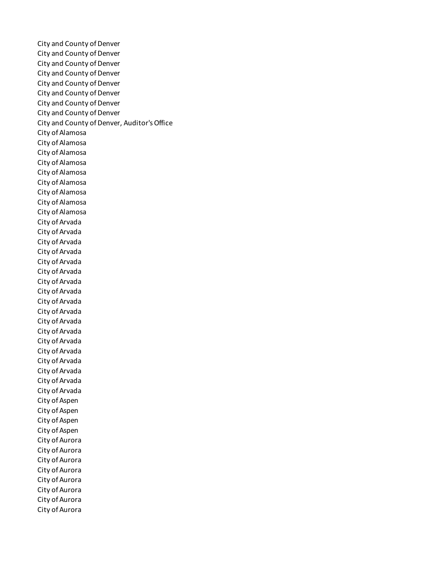City and County of Denver City and County of Denver City and County of Denver City and County of Denver City and County of Denver City and County of Denver City and County of Denver City and County of Denver City and County of Denver, Auditor's Office City of Alamosa City of Alamosa City of Alamosa City of Alamosa City of Alamosa City of Alamosa City of Alamosa City of Alamosa City of Alamosa City of Arvada City of Arvada City of Arvada City of Arvada City of Arvada City of Arvada City of Arvada City of Arvada City of Arvada City of Arvada City of Arvada City of Arvada City of Arvada City of Arvada City of Arvada City of Arvada City of Arvada City of Arvada City of Aspen City of Aspen City of Aspen City of Aspen City of Aurora City of Aurora City of Aurora City of Aurora City of Aurora City of Aurora City of Aurora City of Aurora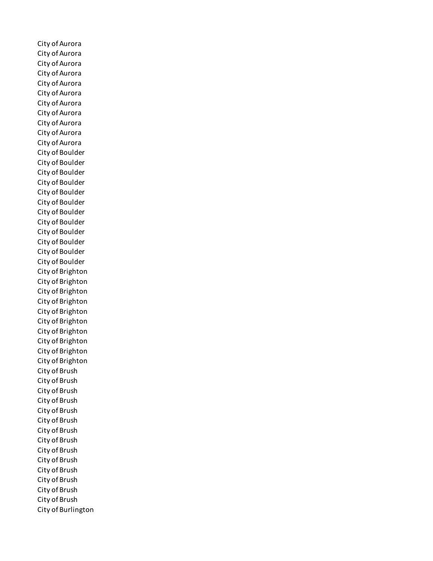City of Aurora City of Aurora City of Aurora City of Aurora City of Aurora City of Aurora City of Aurora City of Aurora City of Aurora City of Aurora City of Aurora City of Boulder City of Boulder City of Boulder City of Boulder City of Boulder City of Boulder City of Boulder City of Boulder City of Boulder City of Boulder City of Boulder City of Boulder City of Brighton City of Brighton City of Brighton City of Brighton City of Brighton City of Brighton City of Brighton City of Brighton City of Brighton City of Brighton City of Brush City of Brush City of Brush City of Brush City of Brush City of Brush City of Brush City of Brush City of Brush City of Brush City of Brush City of Brush City of Brush City of Brush City of Burlington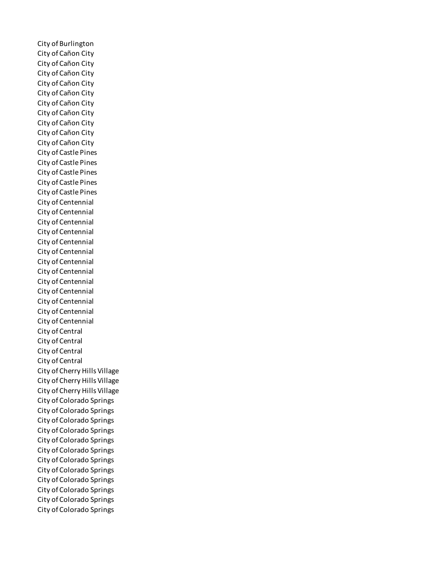City of Burlington City of Cañon City City of Cañon City City of Cañon City City of Cañon City City of Cañon City City of Cañon City City of Cañon City City of Cañon City City of Cañon City City of Cañon City City of Castle Pines City of Castle Pines City of Castle Pines City of Castle Pines City of Castle Pines City of Centennial City of Centennial City of Centennial City of Centennial City of Centennial City of Centennial City of Centennial City of Centennial City of Centennial City of Centennial City of Centennial City of Centennial City of Centennial City of Central City of Central City of Central City of Central City of Cherry Hills Village City of Cherry Hills Village City of Cherry Hills Village City of Colorado Springs City of Colorado Springs City of Colorado Springs City of Colorado Springs City of Colorado Springs City of Colorado Springs City of Colorado Springs City of Colorado Springs City of Colorado Springs City of Colorado Springs City of Colorado Springs City of Colorado Springs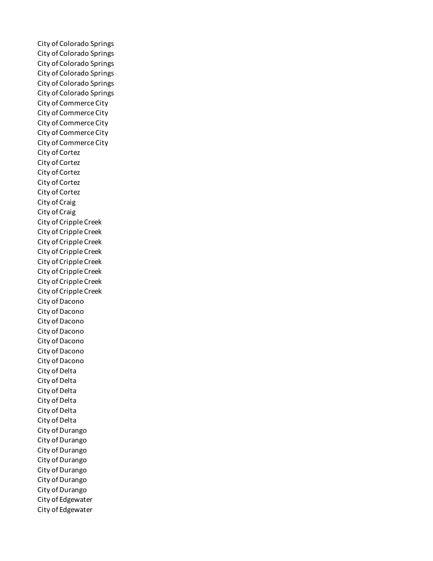City of Colorado Springs City of Colorado Springs City of Colorado Springs City of Colorado Springs City of Colorado Springs City of Colorado Springs City of Commerce City City of Commerce City City of Commerce City City of Commerce City City of Commerce City City of Cortez City of Cortez City of Cortez City of Cortez City of Cortez City of Craig City of Craig City of Cripple Creek City of Cripple Creek City of Cripple Creek City of Cripple Creek City of Cripple Creek City of Cripple Creek City of Cripple Creek City of Cripple Creek City of Dacono City of Dacono City of Dacono City of Dacono City of Dacono City of Dacono City of Dacono City of Delta City of Delta City of Delta City of Delta City of Delta City of Delta City of Durango City of Durango City of Durango City of Durango City of Durango City of Durango City of Durango City of Edgewater City of Edgewater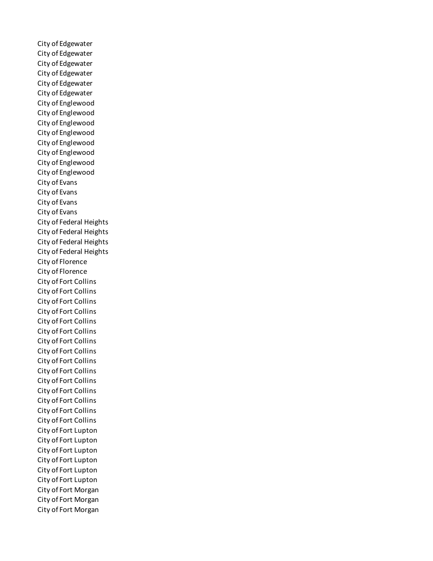City of Edgewater City of Edgewater City of Edgewater City of Edgewater City of Edgewater City of Edgewater City of Englewood City of Englewood City of Englewood City of Englewood City of Englewood City of Englewood City of Englewood City of Englewood City of Evans City of Evans City of Evans City of Evans City of Federal Heights City of Federal Heights City of Federal Heights City of Federal Heights City of Florence City of Florence City of Fort Collins City of Fort Collins City of Fort Collins City of Fort Collins City of Fort Collins City of Fort Collins City of Fort Collins City of Fort Collins City of Fort Collins City of Fort Collins City of Fort Collins City of Fort Collins City of Fort Collins City of Fort Collins City of Fort Collins City of Fort Lupton City of Fort Lupton City of Fort Lupton City of Fort Lupton City of Fort Lupton City of Fort Lupton City of Fort Morgan City of Fort Morgan City of Fort Morgan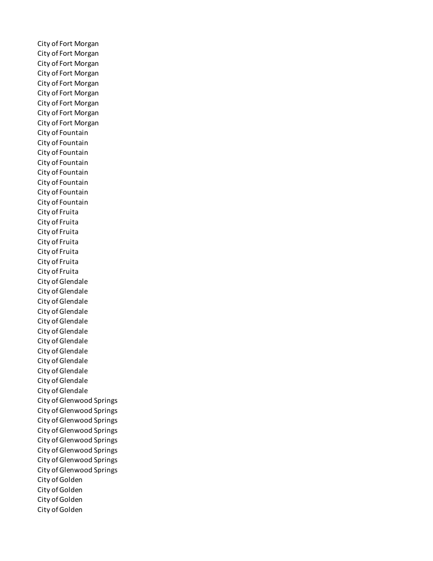City of Fort Morgan City of Fort Morgan City of Fort Morgan City of Fort Morgan City of Fort Morgan City of Fort Morgan City of Fort Morgan City of Fort Morgan City of Fort Morgan City of Fountain City of Fountain City of Fountain City of Fountain City of Fountain City of Fountain City of Fountain City of Fountain City of Fruita City of Fruita City of Fruita City of Fruita City of Fruita City of Fruita City of Fruita City of Glendale City of Glendale City of Glendale City of Glendale City of Glendale City of Glendale City of Glendale City of Glendale City of Glendale City of Glendale City of Glendale City of Glendale City of Glenwood Springs City of Glenwood Springs City of Glenwood Springs City of Glenwood Springs City of Glenwood Springs City of Glenwood Springs City of Glenwood Springs City of Glenwood Springs City of Golden City of Golden City of Golden City of Golden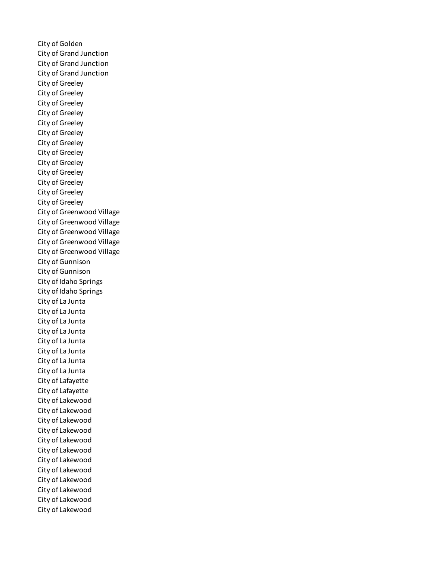City of Golden City of Grand Junction City of Grand Junction City of Grand Junction City of Greeley City of Greeley City of Greeley City of Greeley City of Greeley City of Greeley City of Greeley City of Greeley City of Greeley City of Greeley City of Greeley City of Greeley City of Greeley City of Greenwood Village City of Greenwood Village City of Greenwood Village City of Greenwood Village City of Greenwood Village City of Gunnison City of Gunnison City of Idaho Springs City of Idaho Springs City of La Junta City of La Junta City of La Junta City of La Junta City of La Junta City of La Junta City of La Junta City of La Junta City of Lafayette City of Lafayette City of Lakewood City of Lakewood City of Lakewood City of Lakewood City of Lakewood City of Lakewood City of Lakewood City of Lakewood City of Lakewood City of Lakewood City of Lakewood City of Lakewood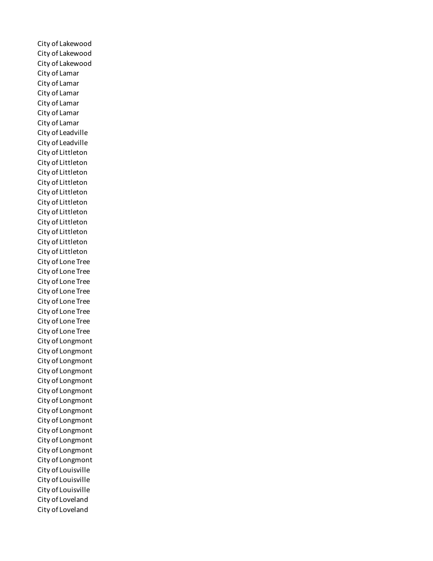City of Lakewood City of Lakewood City of Lakewood City of Lamar City of Lamar City of Lamar City of Lamar City of Lamar City of Lamar City of Leadville City of Leadville City of Littleton City of Littleton City of Littleton City of Littleton City of Littleton City of Littleton City of Littleton City of Littleton City of Littleton City of Littleton City of Littleton City of Lone Tree City of Lone Tree City of Lone Tree City of Lone Tree City of Lone Tree City of Lone Tree City of Lone Tree City of Lone Tree City of Longmont City of Longmont City of Longmont City of Longmont City of Longmont City of Longmont City of Longmont City of Longmont City of Longmont City of Longmont City of Longmont City of Longmont City of Longmont City of Louisville City of Louisville City of Louisville City of Loveland City of Loveland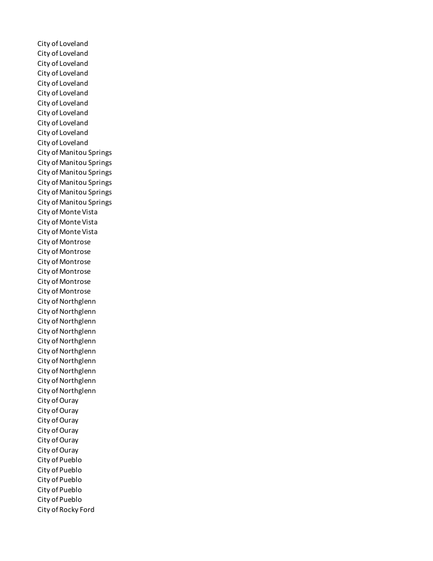City of Loveland City of Loveland City of Loveland City of Loveland City of Loveland City of Loveland City of Loveland City of Loveland City of Loveland City of Loveland City of Loveland City of Manitou Springs City of Manitou Springs City of Manitou Springs City of Manitou Springs City of Manitou Springs City of Manitou Springs City of Monte Vista City of Monte Vista City of Monte Vista City of Montrose City of Montrose City of Montrose City of Montrose City of Montrose City of Montrose City of Northglenn City of Northglenn City of Northglenn City of Northglenn City of Northglenn City of Northglenn City of Northglenn City of Northglenn City of Northglenn City of Northglenn City of Ouray City of Ouray City of Ouray City of Ouray City of Ouray City of Ouray City of Pueblo City of Pueblo City of Pueblo City of Pueblo City of Pueblo City of Rocky Ford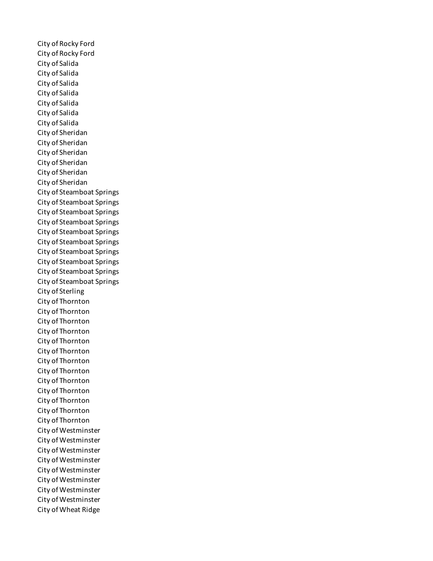City of Rocky Ford City of Rocky Ford City of Salida City of Salida City of Salida City of Salida City of Salida City of Salida City of Salida City of Sheridan City of Sheridan City of Sheridan City of Sheridan City of Sheridan City of Sheridan City of Steamboat Springs City of Steamboat Springs City of Steamboat Springs City of Steamboat Springs City of Steamboat Springs City of Steamboat Springs City of Steamboat Springs City of Steamboat Springs City of Steamboat Springs City of Steamboat Springs City of Sterling City of Thornton City of Thornton City of Thornton City of Thornton City of Thornton City of Thornton City of Thornton City of Thornton City of Thornton City of Thornton City of Thornton City of Thornton City of Thornton City of Westminster City of Westminster City of Westminster City of Westminster City of Westminster City of Westminster City of Westminster City of Westminster City of Wheat Ridge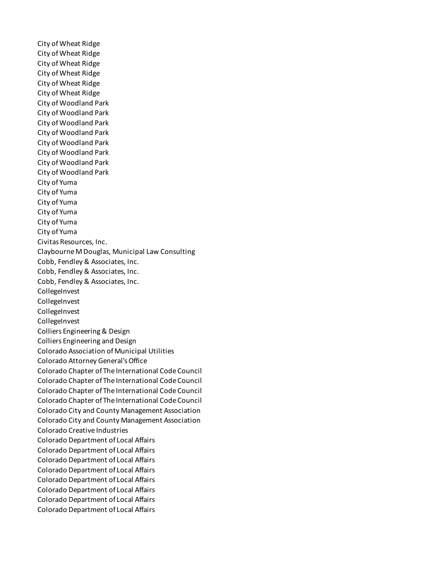City of Wheat Ridge City of Wheat Ridge City of Wheat Ridge City of Wheat Ridge City of Wheat Ridge City of Wheat Ridge City of Woodland Park City of Woodland Park City of Woodland Park City of Woodland Park City of Woodland Park City of Woodland Park City of Woodland Park City of Woodland Park City of Yuma City of Yuma City of Yuma City of Yuma City of Yuma City of Yuma Civitas Resources, Inc. Claybourne M Douglas, Municipal Law Consulting Cobb, Fendley & Associates, Inc. Cobb, Fendley & Associates, Inc. Cobb, Fendley & Associates, Inc. **CollegeInvest CollegeInvest** CollegeInvest **CollegeInvest** Colliers Engineering & Design Colliers Engineering and Design Colorado Association of Municipal Utilities Colorado Attorney General's Office Colorado Chapter of The International Code Council Colorado Chapter of The International Code Council Colorado Chapter of The International Code Council Colorado Chapter of The International Code Council Colorado City and County Management Association Colorado City and County Management Association Colorado Creative Industries Colorado Department of Local Affairs Colorado Department of Local Affairs Colorado Department of Local Affairs Colorado Department of Local Affairs Colorado Department of Local Affairs Colorado Department of Local Affairs Colorado Department of Local Affairs Colorado Department of Local Affairs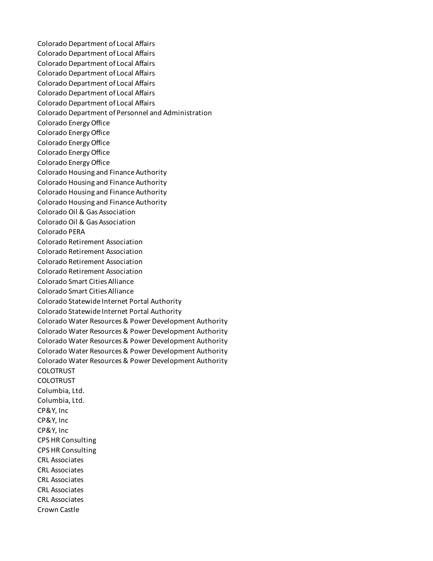Colorado Department of Local Affairs Colorado Department of Local Affairs Colorado Department of Local Affairs Colorado Department of Local Affairs Colorado Department of Local Affairs Colorado Department of Local Affairs Colorado Department of Local Affairs Colorado Department of Personnel and Administration Colorado Energy Office Colorado Energy Office Colorado Energy Office Colorado Energy Office Colorado Energy Office Colorado Housing and Finance Authority Colorado Housing and Finance Authority Colorado Housing and Finance Authority Colorado Housing and Finance Authority Colorado Oil & Gas Association Colorado Oil & Gas Association Colorado PERA Colorado Retirement Association Colorado Retirement Association Colorado Retirement Association Colorado Retirement Association Colorado Smart Cities Alliance Colorado Smart Cities Alliance Colorado Statewide Internet Portal Authority Colorado Statewide Internet Portal Authority Colorado Water Resources & Power Development Authority Colorado Water Resources & Power Development Authority Colorado Water Resources & Power Development Authority Colorado Water Resources & Power Development Authority Colorado Water Resources & Power Development Authority COLOTRUST COLOTRUST Columbia, Ltd. Columbia, Ltd. CP&Y, Inc CP&Y, Inc CP&Y, Inc CPS HR Consulting CPS HR Consulting CRL Associates CRL Associates CRL Associates CRL Associates CRL Associates Crown Castle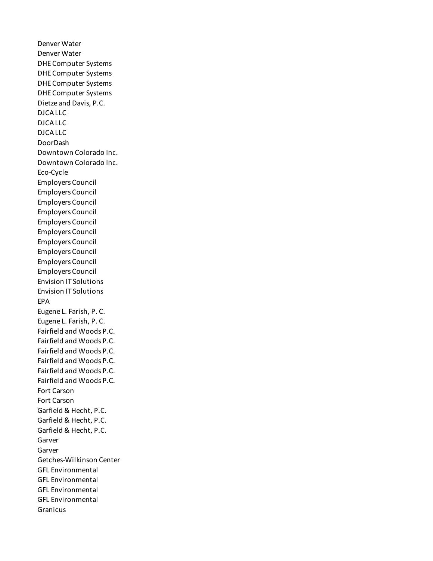Denver Water Denver Water DHE Computer Systems DHE Computer Systems DHE Computer Systems DHE Computer Systems Dietze and Davis, P.C. DJCA LLC DJCA LLC DJCA LLC DoorDash Downtown Colorado Inc. Downtown Colorado Inc. Eco-Cycle Employers Council Employers Council Employers Council Employers Council Employers Council Employers Council Employers Council Employers Council Employers Council Employers Council Envision IT Solutions Envision IT Solutions EPA Eugene L. Farish, P. C. Eugene L. Farish, P. C. Fairfield and Woods P.C. Fairfield and Woods P.C. Fairfield and Woods P.C. Fairfield and Woods P.C. Fairfield and Woods P.C. Fairfield and Woods P.C. Fort Carson Fort Carson Garfield & Hecht, P.C. Garfield & Hecht, P.C. Garfield & Hecht, P.C. Garver Garver Getches-Wilkinson Center GFL Environmental GFL Environmental GFL Environmental GFL Environmental Granicus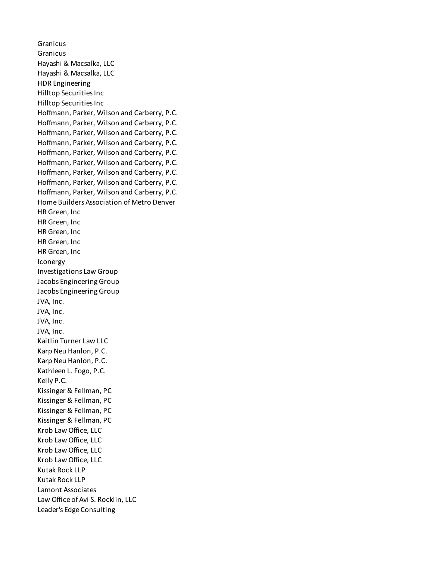Granicus Granicus Hayashi & Macsalka, LLC Hayashi & Macsalka, LLC HDR Engineering Hilltop Securities Inc Hilltop Securities Inc Hoffmann, Parker, Wilson and Carberry, P.C. Hoffmann, Parker, Wilson and Carberry, P.C. Hoffmann, Parker, Wilson and Carberry, P.C. Hoffmann, Parker, Wilson and Carberry, P.C. Hoffmann, Parker, Wilson and Carberry, P.C. Hoffmann, Parker, Wilson and Carberry, P.C. Hoffmann, Parker, Wilson and Carberry, P.C. Hoffmann, Parker, Wilson and Carberry, P.C. Hoffmann, Parker, Wilson and Carberry, P.C. Home Builders Association of Metro Denver HR Green, Inc HR Green, Inc HR Green, Inc HR Green, Inc HR Green, Inc Iconergy Investigations Law Group Jacobs Engineering Group Jacobs Engineering Group JVA, Inc. JVA, Inc. JVA, Inc. JVA, Inc. Kaitlin Turner Law LLC Karp Neu Hanlon, P.C. Karp Neu Hanlon, P.C. Kathleen L. Fogo, P.C. Kelly P.C. Kissinger & Fellman, PC Kissinger & Fellman, PC Kissinger & Fellman, PC Kissinger & Fellman, PC Krob Law Office, LLC Krob Law Office, LLC Krob Law Office, LLC Krob Law Office, LLC Kutak Rock LLP Kutak Rock LLP Lamont Associates Law Office of Avi S. Rocklin, LLC Leader's Edge Consulting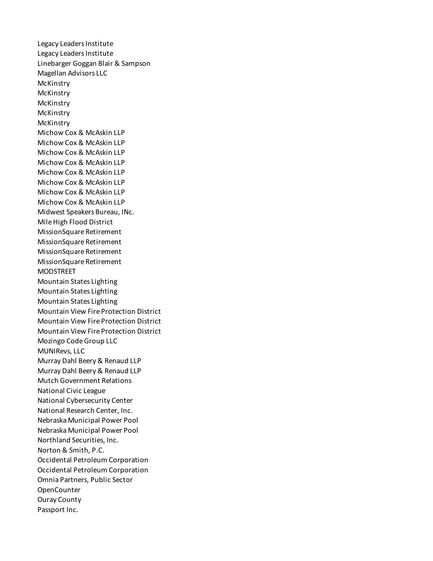Legacy Leaders Institute Legacy Leaders Institute Linebarger Goggan Blair & Sampson Magellan Advisors LLC **McKinstry McKinstry McKinstry McKinstry McKinstry** Michow Cox & McAskin LLP Michow Cox & McAskin LLP Michow Cox & McAskin LLP Michow Cox & McAskin LLP Michow Cox & McAskin LLP Michow Cox & McAskin LLP Michow Cox & McAskin LLP Michow Cox & McAskin LLP Midwest Speakers Bureau, INc. Mile High Flood District MissionSquare Retirement MissionSquare Retirement MissionSquare Retirement MissionSquare Retirement MODSTREET Mountain States Lighting Mountain States Lighting Mountain States Lighting Mountain View Fire Protection District Mountain View Fire Protection District Mountain View Fire Protection District Mozingo Code Group LLC MUNIRevs, LLC Murray Dahl Beery & Renaud LLP Murray Dahl Beery & Renaud LLP Mutch Government Relations National Civic League National Cybersecurity Center National Research Center, Inc. Nebraska Municipal Power Pool Nebraska Municipal Power Pool Northland Securities, Inc. Norton & Smith, P.C. Occidental Petroleum Corporation Occidental Petroleum Corporation Omnia Partners, Public Sector **OpenCounter** Ouray County Passport Inc.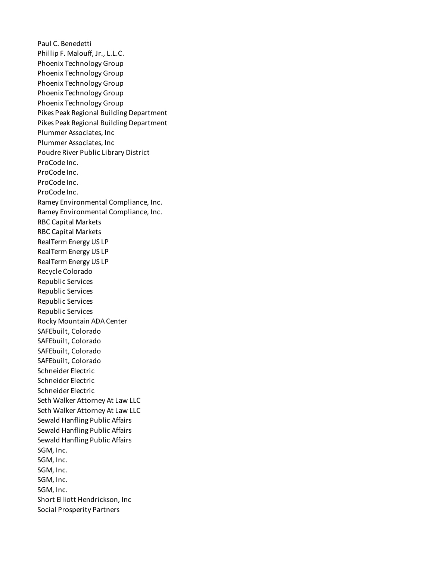Paul C. Benedetti Phillip F. Malouff, Jr., L.L.C. Phoenix Technology Group Phoenix Technology Group Phoenix Technology Group Phoenix Technology Group Phoenix Technology Group Pikes Peak Regional Building Department Pikes Peak Regional Building Department Plummer Associates, Inc Plummer Associates, Inc Poudre River Public Library District ProCode Inc. ProCode Inc. ProCode Inc. ProCode Inc. Ramey Environmental Compliance, Inc. Ramey Environmental Compliance, Inc. RBC Capital Markets RBC Capital Markets RealTerm Energy US LP RealTerm Energy US LP RealTerm Energy US LP Recycle Colorado Republic Services Republic Services Republic Services Republic Services Rocky Mountain ADA Center SAFEbuilt, Colorado SAFEbuilt, Colorado SAFEbuilt, Colorado SAFEbuilt, Colorado Schneider Electric Schneider Electric Schneider Electric Seth Walker Attorney At Law LLC Seth Walker Attorney At Law LLC Sewald Hanfling Public Affairs Sewald Hanfling Public Affairs Sewald Hanfling Public Affairs SGM, Inc. SGM, Inc. SGM, Inc. SGM, Inc. SGM, Inc. Short Elliott Hendrickson, Inc Social Prosperity Partners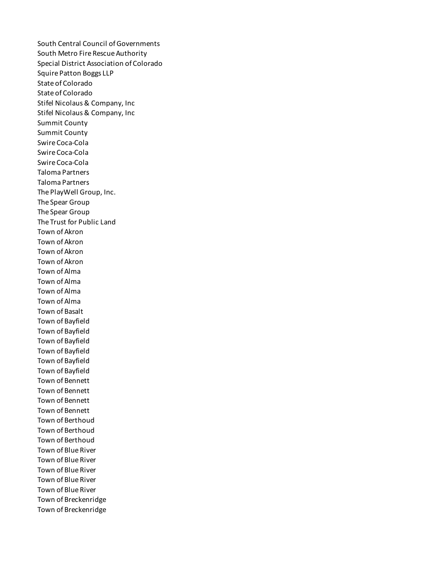South Central Council of Governments South Metro Fire Rescue Authority Special District Association of Colorado Squire Patton Boggs LLP State of Colorado State of Colorado Stifel Nicolaus & Company, Inc Stifel Nicolaus & Company, Inc Summit County Summit County Swire Coca-Cola Swire Coca-Cola Swire Coca-Cola Taloma Partners Taloma Partners The PlayWell Group, Inc. The Spear Group The Spear Group The Trust for Public Land Town of Akron Town of Akron Town of Akron Town of Akron Town of Alma Town of Alma Town of Alma Town of Alma Town of Basalt Town of Bayfield Town of Bayfield Town of Bayfield Town of Bayfield Town of Bayfield Town of Bayfield Town of Bennett Town of Bennett Town of Bennett Town of Bennett Town of Berthoud Town of Berthoud Town of Berthoud Town of Blue River Town of Blue River Town of Blue River Town of Blue River Town of Blue River Town of Breckenridge Town of Breckenridge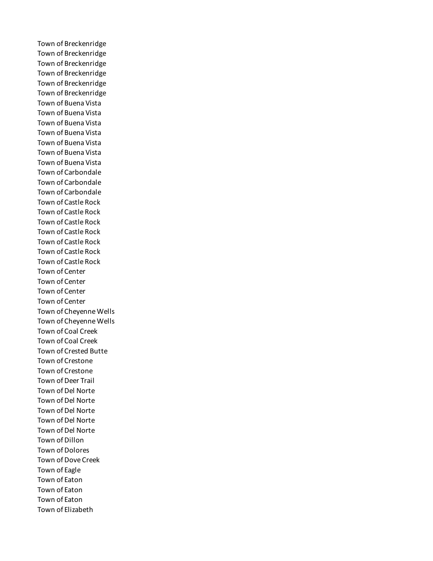Town of Breckenridge Town of Breckenridge Town of Breckenridge Town of Breckenridge Town of Breckenridge Town of Breckenridge Town of Buena Vista Town of Buena Vista Town of Buena Vista Town of Buena Vista Town of Buena Vista Town of Buena Vista Town of Buena Vista Town of Carbondale Town of Carbondale Town of Carbondale Town of Castle Rock Town of Castle Rock Town of Castle Rock Town of Castle Rock Town of Castle Rock Town of Castle Rock Town of Castle Rock Town of Center Town of Center Town of Center Town of Center Town of Cheyenne Wells Town of Cheyenne Wells Town of Coal Creek Town of Coal Creek Town of Crested Butte Town of Crestone Town of Crestone Town of Deer Trail Town of Del Norte Town of Del Norte Town of Del Norte Town of Del Norte Town of Del Norte Town of Dillon Town of Dolores Town of Dove Creek Town of Eagle Town of Eaton Town of Eaton Town of Eaton Town of Elizabeth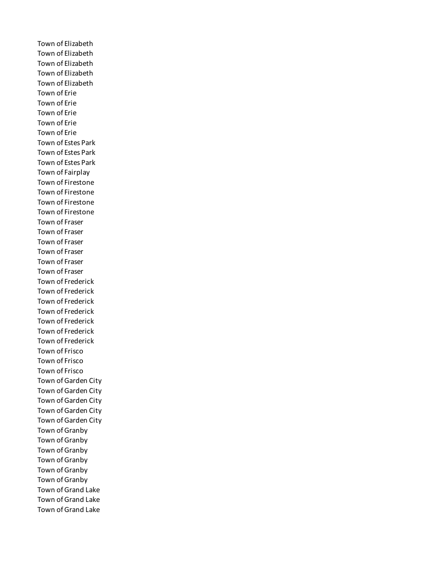Town of Elizabeth Town of Elizabeth Town of Elizabeth Town of Elizabeth Town of Elizabeth Town of Erie Town of Erie Town of Erie Town of Erie Town of Erie Town of Estes Park Town of Estes Park Town of Estes Park Town of Fairplay Town of Firestone Town of Firestone Town of Firestone Town of Firestone Town of Fraser Town of Fraser Town of Fraser Town of Fraser Town of Fraser Town of Fraser Town of Frederick Town of Frederick Town of Frederick Town of Frederick Town of Frederick Town of Frederick Town of Frederick Town of Frisco Town of Frisco Town of Frisco Town of Garden City Town of Garden City Town of Garden City Town of Garden City Town of Garden City Town of Granby Town of Granby Town of Granby Town of Granby Town of Granby Town of Granby Town of Grand Lake Town of Grand Lake Town of Grand Lake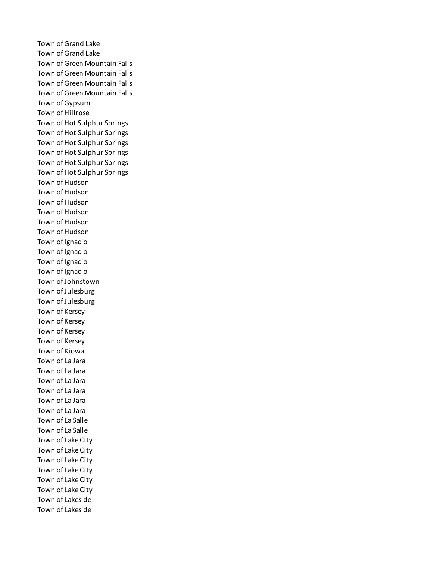Town of Grand Lake Town of Grand Lake Town of Green Mountain Falls Town of Green Mountain Falls Town of Green Mountain Falls Town of Green Mountain Falls Town of Gypsum Town of Hillrose Town of Hot Sulphur Springs Town of Hot Sulphur Springs Town of Hot Sulphur Springs Town of Hot Sulphur Springs Town of Hot Sulphur Springs Town of Hot Sulphur Springs Town of Hudson Town of Hudson Town of Hudson Town of Hudson Town of Hudson Town of Hudson Town of Ignacio Town of Ignacio Town of Ignacio Town of Ignacio Town of Johnstown Town of Julesburg Town of Julesburg Town of Kersey Town of Kersey Town of Kersey Town of Kersey Town of Kiowa Town of La Jara Town of La Jara Town of La Jara Town of La Jara Town of La Jara Town of La Jara Town of La Salle Town of La Salle Town of Lake City Town of Lake City Town of Lake City Town of Lake City Town of Lake City Town of Lake City Town of Lakeside Town of Lakeside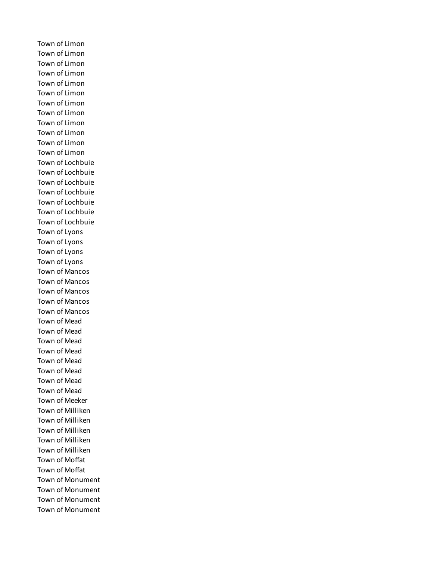Town of Limon Town of Limon Town of Limon Town of Limon Town of Limon Town of Limon Town of Limon Town of Limon Town of Limon Town of Limon Town of Limon Town of Limon Town of Lochbuie Town of Lochbuie Town of Lochbuie Town of Lochbuie Town of Lochbuie Town of Lochbuie Town of Lochbuie Town of Lyons Town of Lyons Town of Lyons Town of Lyons Town of Mancos Town of Mancos Town of Mancos Town of Mancos Town of Mancos Town of Mead Town of Mead Town of Mead Town of Mead Town of Mead Town of Mead Town of Mead Town of Mead Town of Meeker Town of Milliken Town of Milliken Town of Milliken Town of Milliken Town of Milliken Town of Moffat Town of Moffat Town of Monument Town of Monument Town of Monument Town of Monument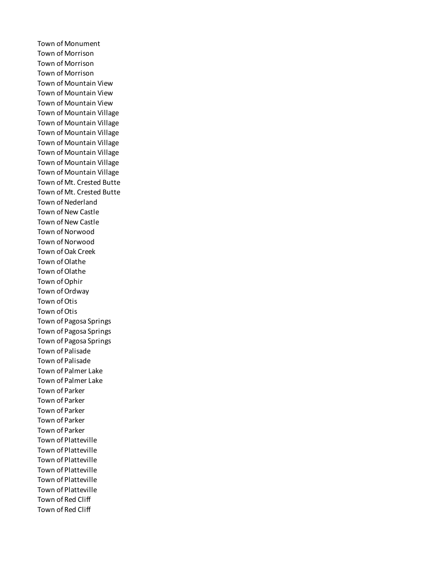Town of Monument Town of Morrison Town of Morrison Town of Morrison Town of Mountain View Town of Mountain View Town of Mountain View Town of Mountain Village Town of Mountain Village Town of Mountain Village Town of Mountain Village Town of Mountain Village Town of Mountain Village Town of Mountain Village Town of Mt. Crested Butte Town of Mt. Crested Butte Town of Nederland Town of New Castle Town of New Castle Town of Norwood Town of Norwood Town of Oak Creek Town of Olathe Town of Olathe Town of Ophir Town of Ordway Town of Otis Town of Otis Town of Pagosa Springs Town of Pagosa Springs Town of Pagosa Springs Town of Palisade Town of Palisade Town of Palmer Lake Town of Palmer Lake Town of Parker Town of Parker Town of Parker Town of Parker Town of Parker Town of Platteville Town of Platteville Town of Platteville Town of Platteville Town of Platteville Town of Platteville Town of Red Cliff Town of Red Cliff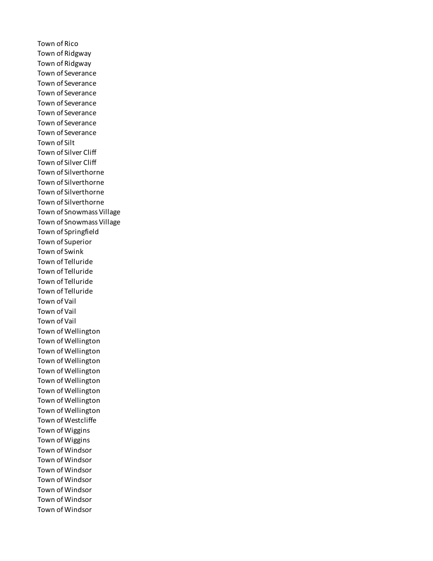Town of Rico Town of Ridgway Town of Ridgway Town of Severance Town of Severance Town of Severance Town of Severance Town of Severance Town of Severance Town of Severance Town of Silt Town of Silver Cliff Town of Silver Cliff Town of Silverthorne Town of Silverthorne Town of Silverthorne Town of Silverthorne Town of Snowmass Village Town of Snowmass Village Town of Springfield Town of Superior Town of Swink Town of Telluride Town of Telluride Town of Telluride Town of Telluride Town of Vail Town of Vail Town of Vail Town of Wellington Town of Wellington Town of Wellington Town of Wellington Town of Wellington Town of Wellington Town of Wellington Town of Wellington Town of Wellington Town of Westcliffe Town of Wiggins Town of Wiggins Town of Windsor Town of Windsor Town of Windsor Town of Windsor Town of Windsor Town of Windsor Town of Windsor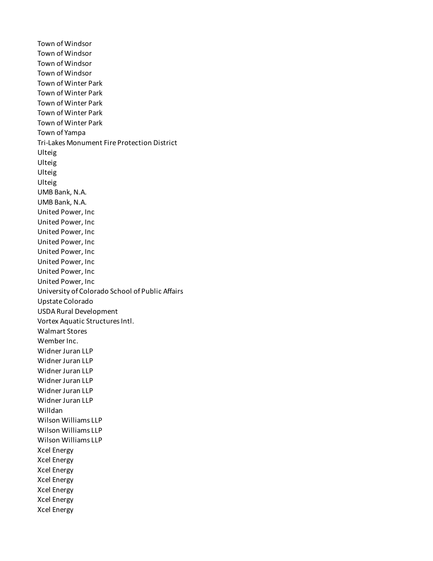Town of Windsor Town of Windsor Town of Windsor Town of Windsor Town of Winter Park Town of Winter Park Town of Winter Park Town of Winter Park Town of Winter Park Town of Yampa Tri-Lakes Monument Fire Protection District Ulteig Ulteig Ulteig Ulteig UMB Bank, N.A. UMB Bank, N.A. United Power, Inc United Power, Inc United Power, Inc United Power, Inc United Power, Inc United Power, Inc United Power, Inc United Power, Inc University of Colorado School of Public Affairs Upstate Colorado USDA Rural Development Vortex Aquatic Structures Intl. Walmart Stores Wember Inc. Widner Juran LLP Widner Juran LLP Widner Juran LLP Widner Juran LLP Widner Juran LLP Widner Juran LLP Willdan Wilson Williams LLP Wilson Williams LLP Wilson Williams LLP Xcel Energy Xcel Energy Xcel Energy Xcel Energy Xcel Energy Xcel Energy Xcel Energy